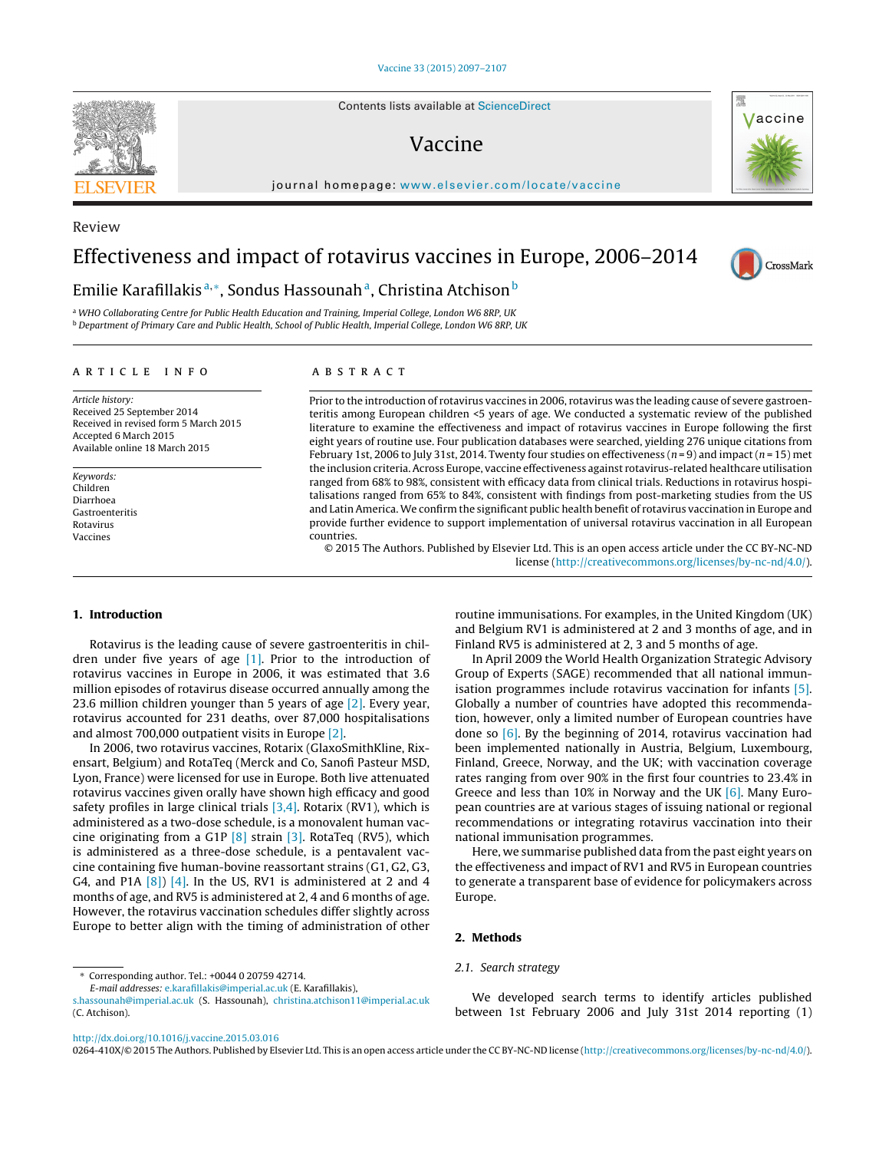Contents lists available at [ScienceDirect](http://www.sciencedirect.com/science/journal/0264410X)

## Vaccine

iournal homepage: [www.elsevier.com/locate/vaccine](http://www.elsevier.com/locate/vaccine)

# Effectiveness and impact of rotavirus vaccines in Europe, 2006–2014



<sup>a</sup> WHO Collaborating Centre for Public Health Education and Training, Imperial College, London W6 8RP, UK <sup>b</sup> Department of Primary Care and Public Health, School of Public Health, Imperial College, London W6 8RP, UK

## a r t i c l e i n f o

Article history: Received 25 September 2014 Received in revised form 5 March 2015 Accepted 6 March 2015 Available online 18 March 2015

Keywords: Children Diarrhoea Gastroenteritis Rotavirus Vaccines

#### A B S T R A C T

Prior to the introduction of rotavirus vaccines in 2006, rotavirus was the leading cause of severe gastroenteritis among European children <5 years of age. We conducted a systematic review of the published literature to examine the effectiveness and impact of rotavirus vaccines in Europe following the first eight years of routine use. Four publication databases were searched, yielding 276 unique citations from February 1st, 2006 to July 31st, 2014. Twenty four studies on effectiveness ( $n=9$ ) and impact ( $n=15$ ) met the inclusion criteria.Across Europe, vaccine effectiveness against rotavirus-related healthcare utilisation ranged from 68% to 98%, consistent with efficacy data from clinical trials. Reductions in rotavirus hospitalisations ranged from 65% to 84%, consistent with findings from post-marketing studies from the US and Latin America. We confirm the significant public health benefit of rotavirus vaccination in Europe and provide further evidence to support implementation of universal rotavirus vaccination in all European countries.

© 2015 The Authors. Published by Elsevier Ltd. This is an open access article under the CC BY-NC-ND license [\(http://creativecommons.org/licenses/by-nc-nd/4.0/](http://creativecommons.org/licenses/by-nc-nd/4.0/)).

#### **1. Introduction**

Rotavirus is the leading cause of severe gastroenteritis in children under five years of age  $[1]$ . Prior to the introduction of rotavirus vaccines in Europe in 2006, it was estimated that 3.6 million episodes of rotavirus disease occurred annually among the 23.6 million children younger than 5 years of age [\[2\].](#page-9-0) Every year, rotavirus accounted for 231 deaths, over 87,000 hospitalisations and almost 700,000 outpatient visits in Europe [\[2\].](#page-9-0)

In 2006, two rotavirus vaccines, Rotarix (GlaxoSmithKline, Rixensart, Belgium) and RotaTeq (Merck and Co, Sanofi Pasteur MSD, Lyon, France) were licensed for use in Europe. Both live attenuated rotavirus vaccines given orally have shown high efficacy and good safety profiles in large clinical trials  $[3,4]$ . Rotarix (RV1), which is administered as a two-dose schedule, is a monovalent human vaccine originating from a G1P  $[8]$  strain  $[3]$ . RotaTeq (RV5), which is administered as a three-dose schedule, is a pentavalent vaccine containing five human-bovine reassortant strains (G1, G2, G3, G4, and P1A  $[8]$   $[4]$ . In the US, RV1 is administered at 2 and 4 months of age, and RV5 is administered at 2, 4 and 6 months of age. However, the rotavirus vaccination schedules differ slightly across Europe to better align with the timing of administration of other

∗ Corresponding author. Tel.: +0044 0 20759 42714.

routine immunisations. For examples, in the United Kingdom (UK) and Belgium RV1 is administered at 2 and 3 months of age, and in Finland RV5 is administered at 2, 3 and 5 months of age.

In April 2009 the World Health Organization Strategic Advisory Group of Experts (SAGE) recommended that all national immunisation programmes include rotavirus vaccination for infants [\[5\].](#page-9-0) Globally a number of countries have adopted this recommendation, however, only a limited number of European countries have done so [\[6\].](#page-9-0) By the beginning of 2014, rotavirus vaccination had been implemented nationally in Austria, Belgium, Luxembourg, Finland, Greece, Norway, and the UK; with vaccination coverage rates ranging from over 90% in the first four countries to 23.4% in Greece and less than 10% in Norway and the UK  $[6]$ . Many European countries are at various stages of issuing national or regional recommendations or integrating rotavirus vaccination into their national immunisation programmes.

Here, we summarise published data from the past eight years on the effectiveness and impact of RV1 and RV5 in European countries to generate a transparent base of evidence for policymakers across Europe.

## **2. Methods**

## 2.1. Search strategy

We developed search terms to identify articles published between 1st February 2006 and July 31st 2014 reporting (1)

0264-410X/© 2015 The Authors. Published by Elsevier Ltd. This is an open access article under the CC BY-NC-ND license [\(http://creativecommons.org/licenses/by-nc-nd/4.0/\)](http://creativecommons.org/licenses/by-nc-nd/4.0/).



Review



CrossMark

E-mail addresses: [e.karafillakis@imperial.ac.uk](mailto:e.karafillakis@imperial.ac.uk) (E. Karafillakis),

[s.hassounah@imperial.ac.uk](mailto:s.hassounah@imperial.ac.uk) (S. Hassounah), [christina.atchison11@imperial.ac.uk](mailto:christina.atchison11@imperial.ac.uk) (C. Atchison).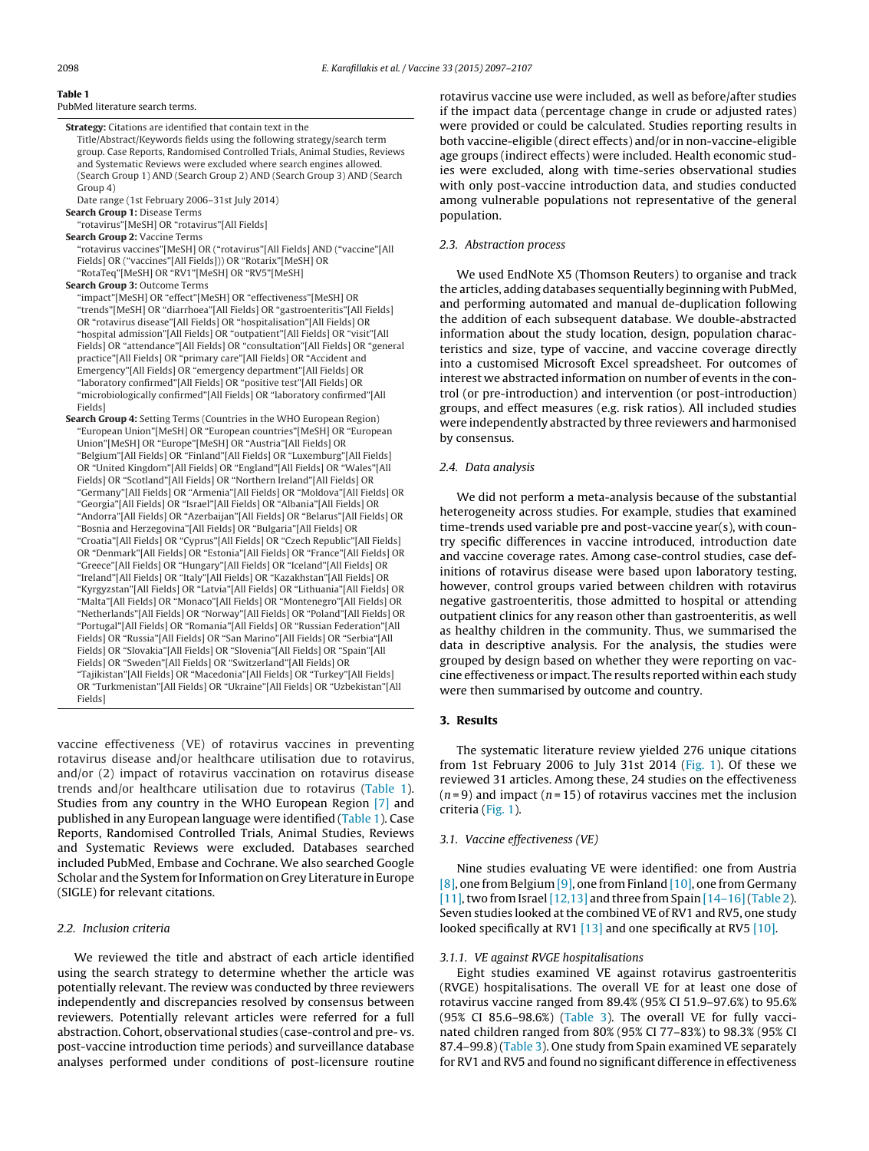#### **Table 1** PubMed literature search terms.

#### **Strategy:** Citations are identified that contain text in the Title/Abstract/Keywords fields using the following strategy/search term group. Case Reports, Randomised Controlled Trials, Animal Studies, Reviews and Systematic Reviews were excluded where search engines allowed. (Search Group 1) AND (Search Group 2) AND (Search Group 3) AND (Search Group 4)

Date range (1st February 2006–31st July 2014)

**Search Group 1:** Disease Terms

"rotavirus"[MeSH] OR "rotavirus"[All Fields]

**Search Group 2:** Vaccine Terms

"rotavirus vaccines"[MeSH] OR ("rotavirus"[All Fields] AND ("vaccine"[All Fields] OR ("vaccines"[All Fields])) OR "Rotarix"[MeSH] OR "RotaTeq"[MeSH] OR "RV1"[MeSH] OR "RV5"[MeSH]

**Search Group 3:** Outcome Terms

"impact"[MeSH] OR "effect"[MeSH] OR "effectiveness"[MeSH] OR "trends"[MeSH] OR "diarrhoea"[All Fields] OR "gastroenteritis"[All Fields] OR "rotavirus disease"[All Fields] OR "hospitalisation"[All Fields] OR "hospital admission"[All Fields] OR "outpatient"[All Fields] OR "visit"[All Fields] OR "attendance"[All Fields] OR "consultation"[All Fields] OR "general practice"[All Fields] OR "primary care"[All Fields] OR "Accident and Emergency"[All Fields] OR "emergency department"[All Fields] OR "laboratory confirmed"[All Fields] OR "positive test"[All Fields] OR "microbiologically confirmed"[All Fields] OR "laboratory confirmed"[All Fields]

**Search Group 4:** Setting Terms (Countries in the WHO European Region) "European Union"[MeSH] OR "European countries"[MeSH] OR "European Union"[MeSH] OR "Europe"[MeSH] OR "Austria"[All Fields] OR "Belgium"[All Fields] OR "Finland"[All Fields] OR "Luxemburg"[All Fields] OR "United Kingdom"[All Fields] OR "England"[All Fields] OR "Wales"[All Fields] OR "Scotland"[All Fields] OR "Northern Ireland"[All Fields] OR "Germany"[All Fields] OR "Armenia"[All Fields] OR "Moldova"[All Fields] OR "Georgia"[All Fields] OR "Israel"[All Fields] OR "Albania"[All Fields] OR "Andorra"[All Fields] OR "Azerbaijan"[All Fields] OR "Belarus"[All Fields] OR "Bosnia and Herzegovina"[All Fields] OR "Bulgaria"[All Fields] OR "Croatia"[All Fields] OR "Cyprus"[All Fields] OR "Czech Republic"[All Fields] OR "Denmark"[All Fields] OR "Estonia"[All Fields] OR "France"[All Fields] OR "Greece"[All Fields] OR "Hungary"[All Fields] OR "Iceland"[All Fields] OR "Ireland"[All Fields] OR "Italy"[All Fields] OR "Kazakhstan"[All Fields] OR "Kyrgyzstan"[All Fields] OR "Latvia"[All Fields] OR "Lithuania"[All Fields] OR "Malta"[All Fields] OR "Monaco"[All Fields] OR "Montenegro"[All Fields] OR "Netherlands"[All Fields] OR "Norway"[All Fields] OR "Poland"[All Fields] OR "Portugal"[All Fields] OR "Romania"[All Fields] OR "Russian Federation"[All Fields] OR "Russia"[All Fields] OR "San Marino"[All Fields] OR "Serbia"[All Fields] OR "Slovakia"[All Fields] OR "Slovenia"[All Fields] OR "Spain"[All Fields] OR "Sweden"[All Fields] OR "Switzerland"[All Fields] OR "Tajikistan"[All Fields] OR "Macedonia"[All Fields] OR "Turkey"[All Fields] OR "Turkmenistan"[All Fields] OR "Ukraine"[All Fields] OR "Uzbekistan"[All Fields]

vaccine effectiveness (VE) of rotavirus vaccines in preventing rotavirus disease and/or healthcare utilisation due to rotavirus, and/or (2) impact of rotavirus vaccination on rotavirus disease trends and/or healthcare utilisation due to rotavirus (Table 1). Studies from any country in the WHO European Region [\[7\]](#page-9-0) and published in any European language were identified (Table 1). Case Reports, Randomised Controlled Trials, Animal Studies, Reviews and Systematic Reviews were excluded. Databases searched included PubMed, Embase and Cochrane. We also searched Google Scholar and the System for Information on Grey Literature in Europe (SIGLE) for relevant citations.

#### 2.2. Inclusion criteria

We reviewed the title and abstract of each article identified using the search strategy to determine whether the article was potentially relevant. The review was conducted by three reviewers independently and discrepancies resolved by consensus between reviewers. Potentially relevant articles were referred for a full abstraction. Cohort, observational studies (case-control and pre- vs. post-vaccine introduction time periods) and surveillance database analyses performed under conditions of post-licensure routine

rotavirus vaccine use were included, as well as before/after studies if the impact data (percentage change in crude or adjusted rates) were provided or could be calculated. Studies reporting results in both vaccine-eligible (direct effects) and/or in non-vaccine-eligible age groups (indirect effects) were included. Health economic studies were excluded, along with time-series observational studies with only post-vaccine introduction data, and studies conducted among vulnerable populations not representative of the general population.

## 2.3. Abstraction process

We used EndNote X5 (Thomson Reuters) to organise and track the articles, adding databases sequentially beginning with PubMed, and performing automated and manual de-duplication following the addition of each subsequent database. We double-abstracted information about the study location, design, population characteristics and size, type of vaccine, and vaccine coverage directly into a customised Microsoft Excel spreadsheet. For outcomes of interest we abstracted information on number of events in the control (or pre-introduction) and intervention (or post-introduction) groups, and effect measures (e.g. risk ratios). All included studies were independently abstracted by three reviewers and harmonised by consensus.

#### 2.4. Data analysis

We did not perform a meta-analysis because of the substantial heterogeneity across studies. For example, studies that examined time-trends used variable pre and post-vaccine year(s), with country specific differences in vaccine introduced, introduction date and vaccine coverage rates. Among case-control studies, case definitions of rotavirus disease were based upon laboratory testing, however, control groups varied between children with rotavirus negative gastroenteritis, those admitted to hospital or attending outpatient clinics for any reason other than gastroenteritis, as well as healthy children in the community. Thus, we summarised the data in descriptive analysis. For the analysis, the studies were grouped by design based on whether they were reporting on vaccine effectiveness or impact. The results reported within each study were then summarised by outcome and country.

#### **3. Results**

The systematic literature review yielded 276 unique citations from 1st February 2006 to July 31st 2014 ([Fig.](#page-3-0) 1). Of these we reviewed 31 articles. Among these, 24 studies on the effectiveness  $(n=9)$  and impact  $(n=15)$  of rotavirus vaccines met the inclusion criteria [\(Fig.](#page-3-0) 1).

#### 3.1. Vaccine effectiveness (VE)

Nine studies evaluating VE were identified: one from Austria [\[8\],](#page-9-0) one from Belgium [\[9\],](#page-9-0) one from Finland [\[10\],](#page-9-0) one from Germany [11], two from Israel  $[12,13]$  and three from Spain  $[14-16]$  ([Table](#page-2-0) 2). Seven studies looked at the combined VE of RV1 and RV5, one study looked specifically at RV1 [\[13\]](#page-9-0) and one specifically at RV5 [\[10\].](#page-9-0)

#### 3.1.1. VE against RVGE hospitalisations

Eight studies examined VE against rotavirus gastroenteritis (RVGE) hospitalisations. The overall VE for at least one dose of rotavirus vaccine ranged from 89.4% (95% CI 51.9–97.6%) to 95.6% (95% CI 85.6–98.6%) [\(Table](#page-4-0) 3). The overall VE for fully vaccinated children ranged from 80% (95% CI 77–83%) to 98.3% (95% CI 87.4–99.8) ([Table](#page-4-0) 3). One study from Spain examined VE separately for RV1 and RV5 and found no significant difference in effectiveness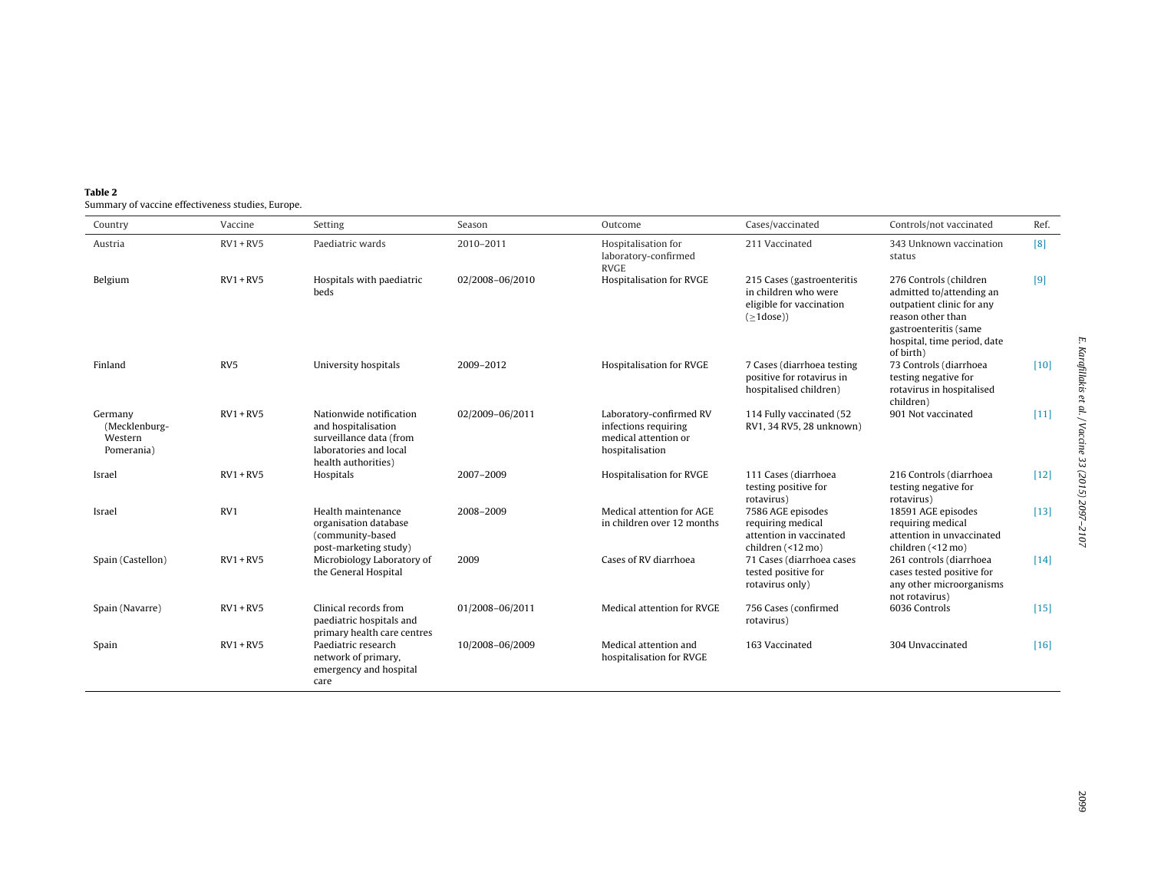<span id="page-2-0"></span>

| Table 2                                           |  |  |
|---------------------------------------------------|--|--|
| Summary of vaccine effectiveness studies, Europe. |  |  |

| Country                                           | Vaccine         | Setting                                                                                                                    | Season          | Outcome                                                                                    | Cases/vaccinated                                                                                    | Controls/not vaccinated                                                                                                                                                   | Ref.   |
|---------------------------------------------------|-----------------|----------------------------------------------------------------------------------------------------------------------------|-----------------|--------------------------------------------------------------------------------------------|-----------------------------------------------------------------------------------------------------|---------------------------------------------------------------------------------------------------------------------------------------------------------------------------|--------|
| Austria                                           | $RV1 + RV5$     | Paediatric wards                                                                                                           | 2010-2011       | Hospitalisation for<br>laboratory-confirmed<br><b>RVGE</b>                                 | 211 Vaccinated                                                                                      | 343 Unknown vaccination<br>status                                                                                                                                         | [8]    |
| Belgium                                           | $RV1 + RV5$     | Hospitals with paediatric<br>beds                                                                                          | 02/2008-06/2010 | <b>Hospitalisation for RVGE</b>                                                            | 215 Cases (gastroenteritis<br>in children who were<br>eligible for vaccination<br>$( \geq 1$ dose)) | 276 Controls (children<br>admitted to/attending an<br>outpatient clinic for any<br>reason other than<br>gastroenteritis (same<br>hospital, time period, date<br>of birth) | [9]    |
| Finland                                           | RV <sub>5</sub> | University hospitals                                                                                                       | 2009-2012       | <b>Hospitalisation for RVGE</b>                                                            | 7 Cases (diarrhoea testing<br>positive for rotavirus in<br>hospitalised children)                   | 73 Controls (diarrhoea<br>testing negative for<br>rotavirus in hospitalised<br>children)                                                                                  | $[10]$ |
| Germany<br>(Mecklenburg-<br>Western<br>Pomerania) | $RV1 + RV5$     | Nationwide notification<br>and hospitalisation<br>surveillance data (from<br>laboratories and local<br>health authorities) | 02/2009-06/2011 | Laboratory-confirmed RV<br>infections requiring<br>medical attention or<br>hospitalisation | 114 Fully vaccinated (52<br>RV1, 34 RV5, 28 unknown)                                                | 901 Not vaccinated                                                                                                                                                        | $[11]$ |
| Israel                                            | $RV1 + RV5$     | Hospitals                                                                                                                  | 2007-2009       | <b>Hospitalisation for RVGE</b>                                                            | 111 Cases (diarrhoea<br>testing positive for<br>rotavirus)                                          | 216 Controls (diarrhoea<br>testing negative for<br>rotavirus)                                                                                                             | $[12]$ |
| Israel                                            | RV <sub>1</sub> | Health maintenance<br>organisation database<br>(community-based<br>post-marketing study)                                   | 2008-2009       | Medical attention for AGE<br>in children over 12 months                                    | 7586 AGE episodes<br>requiring medical<br>attention in vaccinated<br>children (<12 mo)              | 18591 AGE episodes<br>requiring medical<br>attention in unvaccinated<br>children (<12 mo)                                                                                 | $[13]$ |
| Spain (Castellon)                                 | $RV1 + RV5$     | Microbiology Laboratory of<br>the General Hospital                                                                         | 2009            | Cases of RV diarrhoea                                                                      | 71 Cases (diarrhoea cases<br>tested positive for<br>rotavirus only)                                 | 261 controls (diarrhoea<br>cases tested positive for<br>any other microorganisms<br>not rotavirus)                                                                        | $[14]$ |
| Spain (Navarre)                                   | $RV1 + RV5$     | Clinical records from<br>paediatric hospitals and<br>primary health care centres                                           | 01/2008-06/2011 | Medical attention for RVGE                                                                 | 756 Cases (confirmed<br>rotavirus)                                                                  | 6036 Controls                                                                                                                                                             | $[15]$ |
| Spain                                             | $RV1 + RV5$     | Paediatric research<br>network of primary,<br>emergency and hospital<br>care                                               | 10/2008-06/2009 | Medical attention and<br>hospitalisation for RVGE                                          | 163 Vaccinated                                                                                      | 304 Unvaccinated                                                                                                                                                          | $[16]$ |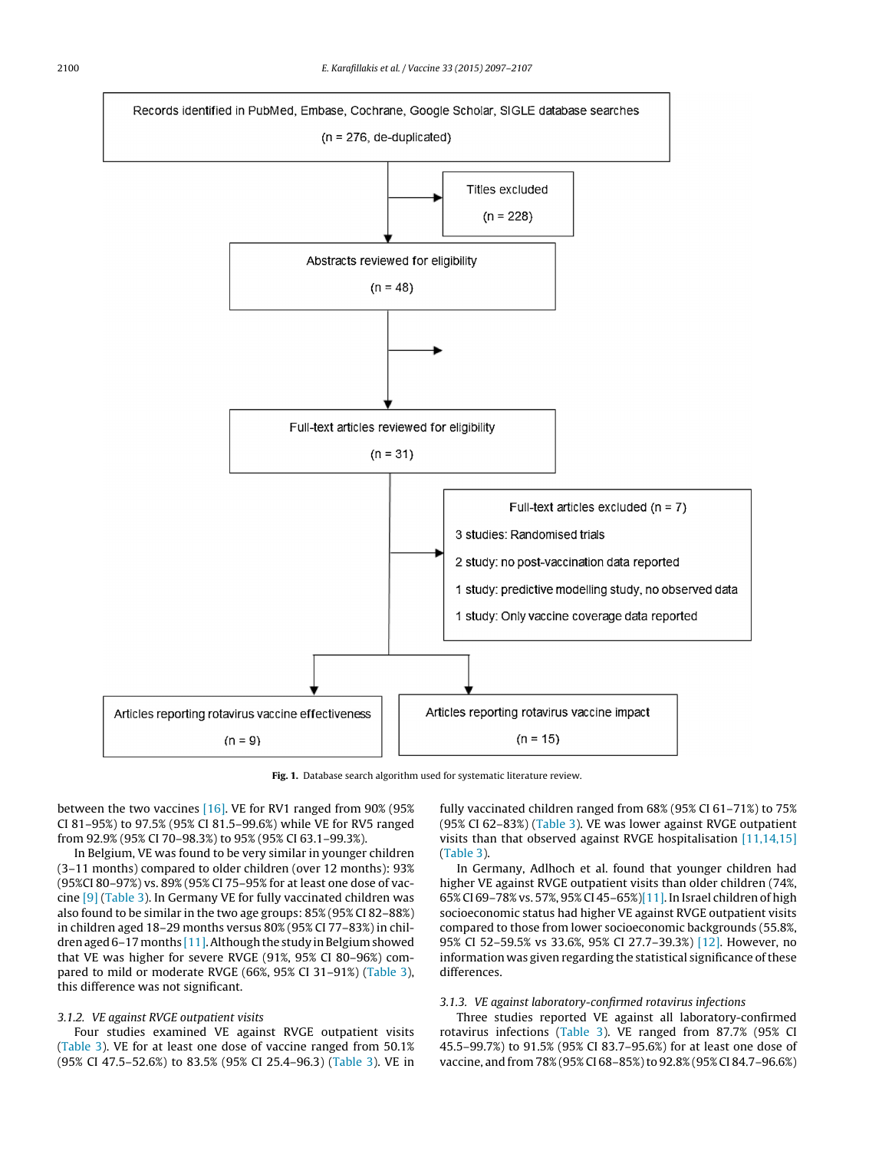<span id="page-3-0"></span>

**Fig. 1.** Database search algorithm used for systematic literature review.

between the two vaccines [\[16\].](#page-9-0) VE for RV1 ranged from 90% (95% CI 81–95%) to 97.5% (95% CI 81.5–99.6%) while VE for RV5 ranged from 92.9% (95% CI 70–98.3%) to 95% (95% CI 63.1–99.3%).

In Belgium, VE was found to be very similar in younger children (3–11 months) compared to older children (over 12 months): 93% (95%CI 80–97%) vs. 89% (95% CI 75–95% for at least one dose of vaccine [\[9\]](#page-9-0) ([Table](#page-4-0) 3). In Germany VE for fully vaccinated children was also found to be similar in the two age groups: 85% (95% CI 82–88%) in children aged 18–29 months versus 80% (95% CI 77–83%) in children aged 6–17 months [11]. Although the study in Belgium showed that VE was higher for severe RVGE (91%, 95% CI 80–96%) compared to mild or moderate RVGE (66%, 95% CI 31–91%) [\(Table](#page-4-0) 3), this difference was not significant.

## 3.1.2. VE against RVGE outpatient visits

Four studies examined VE against RVGE outpatient visits ([Table](#page-4-0) 3). VE for at least one dose of vaccine ranged from 50.1% (95% CI 47.5–52.6%) to 83.5% (95% CI 25.4–96.3) [\(Table](#page-4-0) 3). VE in

fully vaccinated children ranged from 68% (95% CI 61–71%) to 75% (95% CI 62–83%) [\(Table](#page-4-0) 3). VE was lower against RVGE outpatient visits than that observed against RVGE hospitalisation [\[11,14,15\]](#page-9-0) [\(Table](#page-4-0) 3).

In Germany, Adlhoch et al. found that younger children had higher VE against RVGE outpatient visits than older children (74%, 65% CI 69–78% vs. 57%, 95% CI 45–65%)[\[11\].](#page-9-0) In Israel children of high socioeconomic status had higher VE against RVGE outpatient visits compared to those from lower socioeconomic backgrounds (55.8%, 95% CI 52–59.5% vs 33.6%, 95% CI 27.7–39.3%) [\[12\].](#page-9-0) However, no information was given regarding the statistical significance of these differences.

## 3.1.3. VE against laboratory-confirmed rotavirus infections

Three studies reported VE against all laboratory-confirmed rotavirus infections [\(Table](#page-4-0) 3). VE ranged from 87.7% (95% CI 45.5–99.7%) to 91.5% (95% CI 83.7–95.6%) for at least one dose of vaccine, and from 78% (95% CI 68–85%)to 92.8% (95% CI 84.7–96.6%)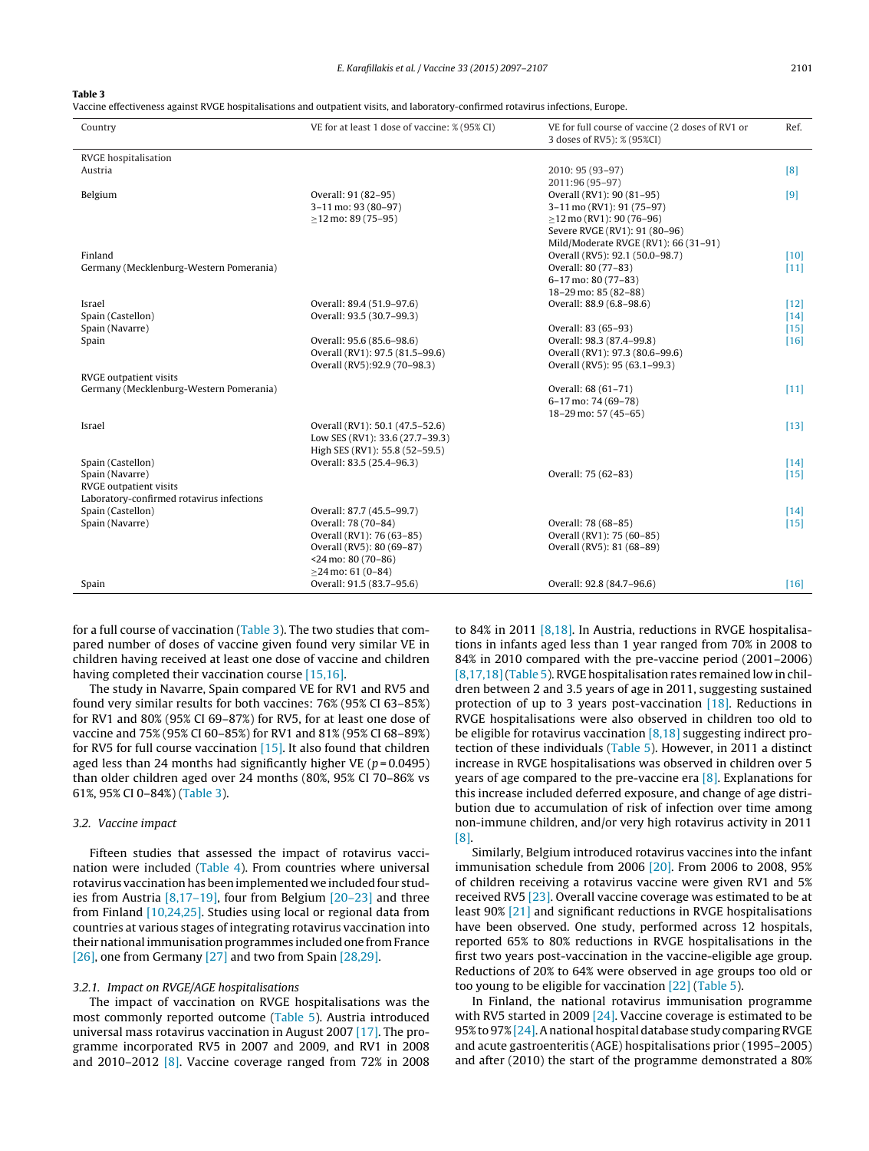<span id="page-4-0"></span>**Table 3**

Vaccine effectiveness against RVGE hospitalisations and outpatient visits, and laboratory-confirmed rotavirus infections, Europe.

| Country                                   | VE for at least 1 dose of vaccine: % (95% CI) | VE for full course of vaccine (2 doses of RV1 or | Ref.   |
|-------------------------------------------|-----------------------------------------------|--------------------------------------------------|--------|
|                                           |                                               | 3 doses of RV5): % (95%CI)                       |        |
| RVGE hospitalisation                      |                                               |                                                  |        |
| Austria                                   |                                               | 2010: 95 (93-97)                                 | [8]    |
|                                           |                                               | 2011:96 (95-97)                                  |        |
| Belgium                                   | Overall: 91 (82-95)                           | Overall (RV1): 90 (81-95)                        | [9]    |
|                                           | 3-11 mo: 93 (80-97)                           | 3-11 mo (RV1): 91 (75-97)                        |        |
|                                           | $>12$ mo: 89 (75-95)                          | $>12$ mo (RV1): 90 (76-96)                       |        |
|                                           |                                               | Severe RVGE (RV1): 91 (80-96)                    |        |
|                                           |                                               | Mild/Moderate RVGE (RV1): 66 (31-91)             |        |
| Finland                                   |                                               | Overall (RV5): 92.1 (50.0-98.7)                  | $[10]$ |
| Germany (Mecklenburg-Western Pomerania)   |                                               | Overall: 80 (77-83)                              | $[11]$ |
|                                           |                                               | 6-17 mo: 80 (77-83)                              |        |
|                                           |                                               | 18-29 mo: 85 (82-88)                             |        |
| Israel                                    | Overall: 89.4 (51.9-97.6)                     | Overall: 88.9 (6.8-98.6)                         | $[12]$ |
| Spain (Castellon)                         | Overall: 93.5 (30.7-99.3)                     |                                                  | $[14]$ |
| Spain (Navarre)                           |                                               | Overall: 83 (65-93)                              | $[15]$ |
| Spain                                     | Overall: 95.6 (85.6-98.6)                     | Overall: 98.3 (87.4-99.8)                        | $[16]$ |
|                                           | Overall (RV1): 97.5 (81.5-99.6)               | Overall (RV1): 97.3 (80.6-99.6)                  |        |
|                                           | Overall (RV5):92.9 (70-98.3)                  | Overall (RV5): 95 (63.1-99.3)                    |        |
| RVGE outpatient visits                    |                                               |                                                  |        |
| Germany (Mecklenburg-Western Pomerania)   |                                               | Overall: 68 (61-71)                              | $[11]$ |
|                                           |                                               | 6-17 mo: 74 (69-78)                              |        |
|                                           |                                               | 18-29 mo: 57 (45-65)                             |        |
| Israel                                    | Overall (RV1): 50.1 (47.5-52.6)               |                                                  | $[13]$ |
|                                           | Low SES (RV1): 33.6 (27.7-39.3)               |                                                  |        |
|                                           | High SES (RV1): 55.8 (52-59.5)                |                                                  |        |
| Spain (Castellon)                         | Overall: 83.5 (25.4-96.3)                     |                                                  | $[14]$ |
| Spain (Navarre)                           |                                               | Overall: 75 (62-83)                              | $[15]$ |
| <b>RVGE</b> outpatient visits             |                                               |                                                  |        |
| Laboratory-confirmed rotavirus infections |                                               |                                                  |        |
| Spain (Castellon)                         | Overall: 87.7 (45.5-99.7)                     |                                                  | $[14]$ |
| Spain (Navarre)                           | Overall: 78 (70-84)                           | Overall: 78 (68-85)                              | $[15]$ |
|                                           | Overall (RV1): 76 (63-85)                     | Overall (RV1): 75 (60-85)                        |        |
|                                           | Overall (RV5): 80 (69-87)                     | Overall (RV5): 81 (68-89)                        |        |
|                                           | $<$ 24 mo: 80 (70-86)                         |                                                  |        |
|                                           | $>24$ mo: 61 (0-84)                           |                                                  |        |
| Spain                                     | Overall: 91.5 (83.7-95.6)                     | Overall: 92.8 (84.7-96.6)                        | $[16]$ |
|                                           |                                               |                                                  |        |

for a full course of vaccination (Table 3). The two studies that compared number of doses of vaccine given found very similar VE in children having received at least one dose of vaccine and children having completed their vaccination course [\[15,16\].](#page-9-0)

The study in Navarre, Spain compared VE for RV1 and RV5 and found very similar results for both vaccines: 76% (95% CI 63–85%) for RV1 and 80% (95% CI 69–87%) for RV5, for at least one dose of vaccine and 75% (95% CI 60–85%) for RV1 and 81% (95% CI 68–89%) for RV5 for full course vaccination [\[15\].](#page-9-0) It also found that children aged less than 24 months had significantly higher VE ( $p = 0.0495$ ) than older children aged over 24 months (80%, 95% CI 70–86% vs 61%, 95% CI 0–84%) (Table 3).

#### 3.2. Vaccine impact

Fifteen studies that assessed the impact of rotavirus vaccination were included ([Table](#page-5-0) 4). From countries where universal rotavirus vaccination has been implemented we included four studies from Austria [\[8,17–19\],](#page-9-0) four from Belgium [\[20–23\]](#page-9-0) and three from Finland [\[10,24,25\].](#page-9-0) Studies using local or regional data from countries at various stages of integrating rotavirus vaccination into their national immunisation programmes included one from France [\[26\],](#page-9-0) one from Germany [\[27\]](#page-9-0) and two from Spain [\[28,29\].](#page-10-0)

#### 3.2.1. Impact on RVGE/AGE hospitalisations

The impact of vaccination on RVGE hospitalisations was the most commonly reported outcome [\(Table](#page-6-0) 5). Austria introduced universal mass rotavirus vaccination in August 2007 [\[17\].](#page-9-0) The programme incorporated RV5 in 2007 and 2009, and RV1 in 2008 and 2010–2012  $[8]$ . Vaccine coverage ranged from 72% in 2008 to 84% in 2011 [\[8,18\].](#page-9-0) In Austria, reductions in RVGE hospitalisations in infants aged less than 1 year ranged from 70% in 2008 to 84% in 2010 compared with the pre-vaccine period (2001–2006) [8,17,18] ([Table](#page-6-0) 5). RVGE hospitalisation rates remained low in children between 2 and 3.5 years of age in 2011, suggesting sustained protection of up to 3 years post-vaccination [\[18\].](#page-9-0) Reductions in RVGE hospitalisations were also observed in children too old to be eligible for rotavirus vaccination [\[8,18\]](#page-9-0) suggesting indirect protection of these individuals [\(Table](#page-6-0) 5). However, in 2011 a distinct increase in RVGE hospitalisations was observed in children over 5 years of age compared to the pre-vaccine era [\[8\].](#page-9-0) Explanations for this increase included deferred exposure, and change of age distribution due to accumulation of risk of infection over time among non-immune children, and/or very high rotavirus activity in 2011 [\[8\].](#page-9-0)

Similarly, Belgium introduced rotavirus vaccines into the infant immunisation schedule from 2006 [\[20\].](#page-9-0) From 2006 to 2008, 95% of children receiving a rotavirus vaccine were given RV1 and 5% received RV5 [\[23\].](#page-9-0) Overall vaccine coverage was estimated to be at least 90% [\[21\]](#page-9-0) and significant reductions in RVGE hospitalisations have been observed. One study, performed across 12 hospitals, reported 65% to 80% reductions in RVGE hospitalisations in the first two years post-vaccination in the vaccine-eligible age group. Reductions of 20% to 64% were observed in age groups too old or too young to be eligible for vaccination [\[22\]](#page-9-0) [\(Table](#page-6-0) 5).

In Finland, the national rotavirus immunisation programme with RV5 started in 2009 [\[24\].](#page-9-0) Vaccine coverage is estimated to be 95% to 97% [24]. A national hospital database study comparing RVGE and acute gastroenteritis (AGE) hospitalisations prior (1995–2005) and after (2010) the start of the programme demonstrated a 80%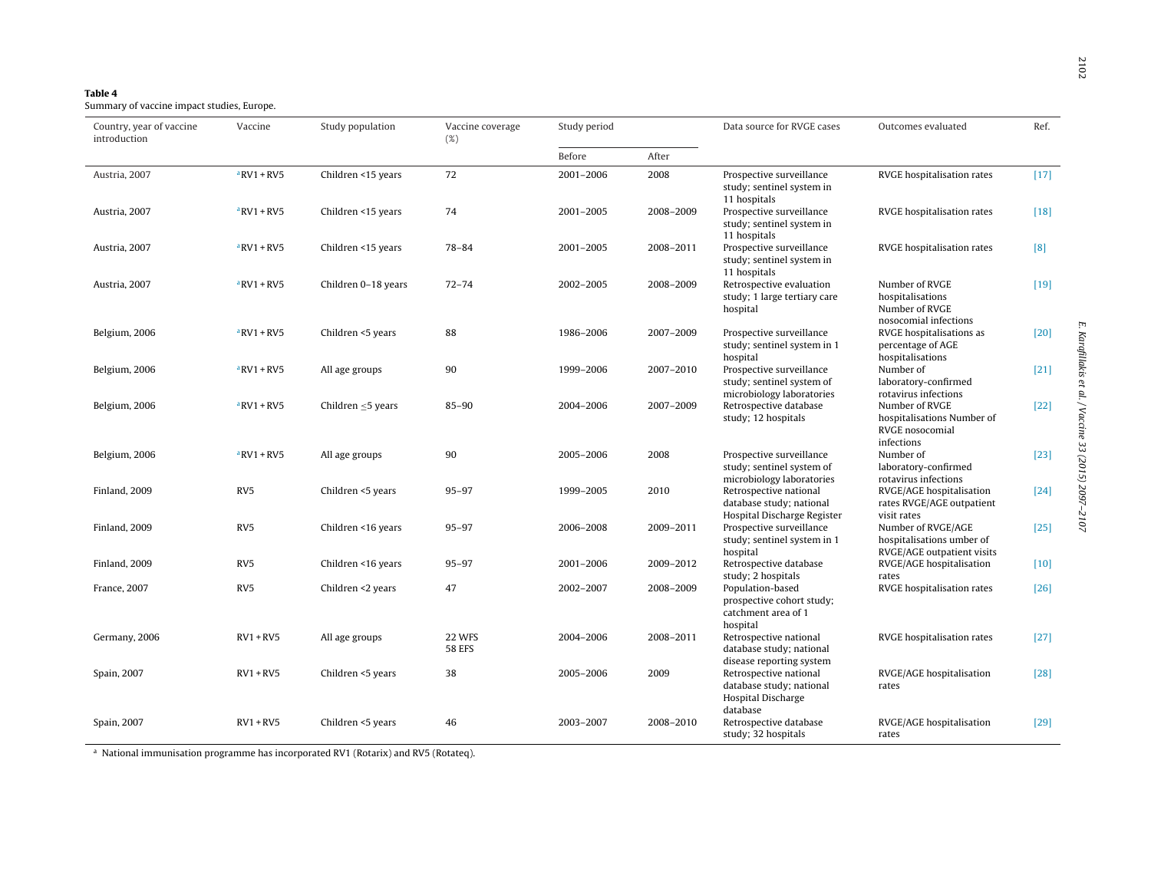#### <span id="page-5-0"></span>**Table 4**

Summary of vaccine impact studies, Europe.

| Country, year of vaccine<br>introduction | Vaccine                 | Study population        | Vaccine coverage<br>$(\%)$ | Study period |           | Data source for RVGE cases                                                           | Outcomes evaluated                                                            | Ref.   |
|------------------------------------------|-------------------------|-------------------------|----------------------------|--------------|-----------|--------------------------------------------------------------------------------------|-------------------------------------------------------------------------------|--------|
|                                          |                         |                         |                            | Before       | After     |                                                                                      |                                                                               |        |
| Austria, 2007                            | $RVI + RV5$             | Children <15 years      | 72                         | 2001-2006    | 2008      | Prospective surveillance<br>study; sentinel system in<br>11 hospitals                | RVGE hospitalisation rates                                                    | $[17]$ |
| Austria, 2007                            | $\text{e}$ RV1 + RV5    | Children <15 years      | 74                         | 2001-2005    | 2008-2009 | Prospective surveillance<br>study; sentinel system in<br>11 hospitals                | RVGE hospitalisation rates                                                    | $[18]$ |
| Austria, 2007                            | $\text{e}$ RV1 + RV5    | Children <15 years      | $78 - 84$                  | 2001-2005    | 2008-2011 | Prospective surveillance<br>study; sentinel system in<br>11 hospitals                | RVGE hospitalisation rates                                                    | [8]    |
| Austria, 2007                            | $\textdegree$ RV1 + RV5 | Children 0-18 years     | $72 - 74$                  | 2002-2005    | 2008-2009 | Retrospective evaluation<br>study; 1 large tertiary care<br>hospital                 | Number of RVGE<br>hospitalisations<br>Number of RVGE<br>nosocomial infections | $[19]$ |
| Belgium, 2006                            | $\text{e}$ RV1 + RV5    | Children <5 years       | 88                         | 1986-2006    | 2007-2009 | Prospective surveillance<br>study; sentinel system in 1<br>hospital                  | RVGE hospitalisations as<br>percentage of AGE<br>hospitalisations             | [20]   |
| Belgium, 2006                            | $\textdegree$ RV1 + RV5 | All age groups          | 90                         | 1999-2006    | 2007-2010 | Prospective surveillance<br>study; sentinel system of<br>microbiology laboratories   | Number of<br>laboratory-confirmed<br>rotavirus infections                     | $[21]$ |
| Belgium, 2006                            | $\text{e}$ RV1 + RV5    | Children $\leq$ 5 years | $85 - 90$                  | 2004-2006    | 2007-2009 | Retrospective database<br>study; 12 hospitals                                        | Number of RVGE<br>hospitalisations Number of<br>RVGE nosocomial<br>infections | $[22]$ |
| Belgium, 2006                            | $RVI + RV5$             | All age groups          | 90                         | 2005-2006    | 2008      | Prospective surveillance<br>study; sentinel system of<br>microbiology laboratories   | Number of<br>laboratory-confirmed<br>rotavirus infections                     | $[23]$ |
| Finland, 2009                            | RV <sub>5</sub>         | Children <5 years       | $95 - 97$                  | 1999-2005    | 2010      | Retrospective national<br>database study; national<br>Hospital Discharge Register    | RVGE/AGE hospitalisation<br>rates RVGE/AGE outpatient<br>visit rates          | $[24]$ |
| Finland, 2009                            | RV <sub>5</sub>         | Children <16 years      | $95 - 97$                  | 2006-2008    | 2009-2011 | Prospective surveillance<br>study; sentinel system in 1<br>hospital                  | Number of RVGE/AGE<br>hospitalisations umber of<br>RVGE/AGE outpatient visits | $[25]$ |
| Finland, 2009                            | RV <sub>5</sub>         | Children <16 years      | $95 - 97$                  | 2001-2006    | 2009-2012 | Retrospective database<br>study; 2 hospitals                                         | RVGE/AGE hospitalisation<br>rates                                             | $[10]$ |
| France, 2007                             | RV <sub>5</sub>         | Children <2 years       | 47                         | 2002-2007    | 2008-2009 | Population-based<br>prospective cohort study;<br>catchment area of 1<br>hospital     | RVGE hospitalisation rates                                                    | $[26]$ |
| Germany, 2006                            | $RV1 + RV5$             | All age groups          | 22 WFS<br><b>58 EFS</b>    | 2004-2006    | 2008-2011 | Retrospective national<br>database study; national<br>disease reporting system       | RVGE hospitalisation rates                                                    | $[27]$ |
| Spain, 2007                              | $RV1 + RV5$             | Children <5 years       | 38                         | 2005-2006    | 2009      | Retrospective national<br>database study; national<br>Hospital Discharge<br>database | RVGE/AGE hospitalisation<br>rates                                             | [28]   |
| Spain, 2007                              | $RV1 + RV5$             | Children <5 years       | 46                         | 2003-2007    | 2008-2010 | Retrospective database<br>study; 32 hospitals                                        | RVGE/AGE hospitalisation<br>rates                                             | $[29]$ |

a National immunisation programme has incorporated RV1 (Rotarix) and RV5 (Rotateq).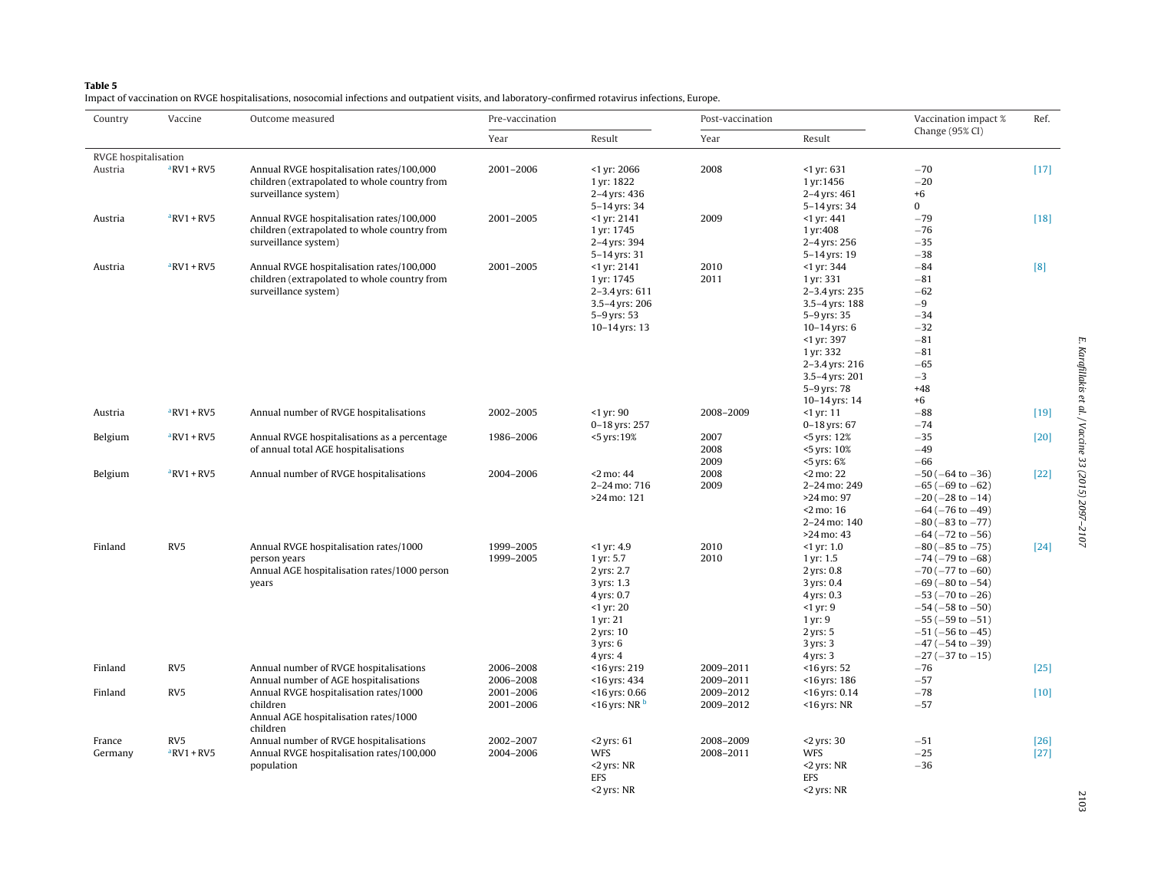#### <span id="page-6-0"></span>**Table 5**

| Impact of vaccination on RVGE hospitalisations, nosocomial infections and outpatient visits, and laboratory-confirmed rotavirus infections. Europe, |  |  |  |  |
|-----------------------------------------------------------------------------------------------------------------------------------------------------|--|--|--|--|
|                                                                                                                                                     |  |  |  |  |

| Country                     | Vaccine                 | Outcome measured                             | Pre-vaccination |                        | Post-vaccination |                          |                                                      | Ref.              |
|-----------------------------|-------------------------|----------------------------------------------|-----------------|------------------------|------------------|--------------------------|------------------------------------------------------|-------------------|
|                             |                         |                                              | Year            | Result                 | Year             | Result                   | Change (95% CI)                                      |                   |
| <b>RVGE</b> hospitalisation |                         |                                              |                 |                        |                  |                          |                                                      |                   |
| Austria                     | $\text{e}$ RV1 + RV5    | Annual RVGE hospitalisation rates/100,000    | 2001-2006       | $<$ 1 yr: 2066         | 2008             | $<$ 1 yr: 631            | $-70$                                                | $[17]$            |
|                             |                         | children (extrapolated to whole country from |                 | 1 yr: 1822             |                  | 1 yr:1456                | $-20$                                                |                   |
|                             |                         | surveillance system)                         |                 | 2-4 yrs: 436           |                  | 2-4 yrs: 461             | $+6$                                                 |                   |
|                             |                         |                                              |                 | 5-14 yrs: 34           |                  | $5 - 14$ yrs: 34         | $\mathbf{0}$                                         |                   |
| Austria                     | $RV1 + RV5$             | Annual RVGE hospitalisation rates/100,000    | 2001-2005       | $<$ 1 yr: 2141         | 2009             | $1 \text{ yr}$ : 441     | $-79$                                                | $[18]$            |
|                             |                         | children (extrapolated to whole country from |                 | 1 yr: 1745             |                  | 1 yr:408                 | $-76$                                                |                   |
|                             |                         | surveillance system)                         |                 | 2-4 yrs: 394           |                  | $2 - 4$ yrs: 256         | $-35$                                                |                   |
|                             |                         |                                              |                 | $5 - 14$ yrs: 31       |                  | $5 - 14$ yrs: 19         | $-38$                                                |                   |
| Austria                     | $RV1 + RV5$             | Annual RVGE hospitalisation rates/100,000    | 2001-2005       | $<$ 1 yr: 2141         | 2010             | $<$ 1 yr: 344            | $-84$                                                | $\lceil 8 \rceil$ |
|                             |                         | children (extrapolated to whole country from |                 | 1 yr: 1745             | 2011             | 1 yr: 331                | $-81$                                                |                   |
|                             |                         | surveillance system)                         |                 | $2 - 3.4$ yrs: 611     |                  | 2-3.4 yrs: 235           | $-62$                                                |                   |
|                             |                         |                                              |                 | $3.5 - 4$ yrs: 206     |                  | $3.5 - 4$ yrs: 188       | $-9$                                                 |                   |
|                             |                         |                                              |                 | 5-9 yrs: 53            |                  | 5-9 yrs: 35              | $-34$                                                |                   |
|                             |                         |                                              |                 | $10-14$ yrs: 13        |                  | $10-14$ yrs: 6           | $-32$                                                |                   |
|                             |                         |                                              |                 |                        |                  | $<$ 1 yr: 397            | $-81$                                                |                   |
|                             |                         |                                              |                 |                        |                  | 1 yr: 332                | $-81$                                                |                   |
|                             |                         |                                              |                 |                        |                  | $2 - 3.4$ yrs: 216       | $-65$                                                |                   |
|                             |                         |                                              |                 |                        |                  | 3.5-4 yrs: 201           | $-3$                                                 |                   |
|                             |                         |                                              |                 |                        |                  | 5-9 yrs: 78              | $+48$                                                |                   |
|                             |                         |                                              |                 |                        |                  | $10-14$ yrs: 14          | $+6$                                                 |                   |
| Austria                     | $RVI + RV5$             | Annual number of RVGE hospitalisations       | 2002-2005       | $1 \text{ yr}$ : 90    | 2008-2009        | $<1$ yr: 11              | $-88$                                                | $[19]$            |
|                             |                         |                                              |                 | $0-18$ yrs: 257        |                  | $0 - 18$ yrs: 67         | $-74$                                                |                   |
| Belgium                     | $\text{d}$ RV1 + RV5    | Annual RVGE hospitalisations as a percentage | 1986-2006       | $5$ yrs: $19%$         | 2007             | <5 yrs: 12%              | $-35$                                                | [20]              |
|                             |                         | of annual total AGE hospitalisations         |                 |                        | 2008             | $5 \, \text{yrs}$ : 10%  | $-49$                                                |                   |
|                             |                         |                                              |                 |                        | 2009             | $5$ vrs: 6%              | $-66$                                                |                   |
| Belgium                     | $RVI + RV5$             | Annual number of RVGE hospitalisations       | 2004-2006       | $<$ 2 mo: 44           | 2008             | $2$ mo: 22               | $-50$ ( $-64$ to $-36$ )                             |                   |
|                             |                         |                                              |                 | 2-24 mo: 716           | 2009             | 2-24 mo: 249             | $-65$ ( $-69$ to $-62$ )                             | $[22]$            |
|                             |                         |                                              |                 | >24 mo: 121            |                  | >24 mo: 97               | $-20$ ( $-28$ to $-14$ )                             |                   |
|                             |                         |                                              |                 |                        |                  | $< 2$ mo: 16             |                                                      |                   |
|                             |                         |                                              |                 |                        |                  | 2-24 mo: 140             | $-64$ ( $-76$ to $-49$ )<br>$-80$ ( $-83$ to $-77$ ) |                   |
|                             |                         |                                              |                 |                        |                  | $>24 \,\mathrm{mo}$ : 43 | $-64$ ( $-72$ to $-56$ )                             |                   |
|                             | RV <sub>5</sub>         |                                              | 1999-2005       |                        | 2010             |                          |                                                      |                   |
| Finland                     |                         | Annual RVGE hospitalisation rates/1000       | 1999-2005       | $<$ 1 yr: 4.9          | 2010             | $<$ 1 yr: 1.0            | $-80$ ( $-85$ to $-75$ )                             | $[24]$            |
|                             |                         | person years                                 |                 | 1 yr: 5.7              |                  | 1 yr: 1.5                | $-74$ ( $-79$ to $-68$ )                             |                   |
|                             |                         | Annual AGE hospitalisation rates/1000 person |                 | 2 yrs: 2.7             |                  | 2 yrs: 0.8               | $-70$ ( $-77$ to $-60$ )                             |                   |
|                             |                         | vears                                        |                 | 3 yrs: 1.3             |                  | 3 yrs: 0.4               | $-69$ ( $-80$ to $-54$ )                             |                   |
|                             |                         |                                              |                 | 4 yrs: 0.7             |                  | 4 yrs: 0.3               | $-53$ ( $-70$ to $-26$ )                             |                   |
|                             |                         |                                              |                 | $<$ 1 yr: 20           |                  | $<$ 1 yr: 9              | $-54$ ( $-58$ to $-50$ )                             |                   |
|                             |                         |                                              |                 | $1 \,\text{yr}$ : 21   |                  | 1 yr: 9                  | $-55$ ( $-59$ to $-51$ )                             |                   |
|                             |                         |                                              |                 | 2 yrs: 10              |                  | $2$ yrs: $5$             | $-51$ ( $-56$ to $-45$ )                             |                   |
|                             |                         |                                              |                 | 3 yrs: 6               |                  | 3 yrs: 3                 | $-47$ ( $-54$ to $-39$ )                             |                   |
|                             |                         |                                              |                 | $4$ yrs: $4$           |                  | $4$ yrs: $3$             | $-27(-37$ to $-15)$                                  |                   |
| Finland                     | RV <sub>5</sub>         | Annual number of RVGE hospitalisations       | 2006-2008       | <16 yrs: 219           | 2009-2011        | $<$ 16 yrs: 52           | $-76$                                                | $[25]$            |
|                             |                         | Annual number of AGE hospitalisations        | 2006-2008       | $<$ 16 yrs: 434        | 2009-2011        | $<$ 16 yrs: 186          | $-57$                                                |                   |
| Finland                     | RV <sub>5</sub>         | Annual RVGE hospitalisation rates/1000       | 2001-2006       | $<$ 16 yrs: 0.66       | 2009-2012        | $<$ 16 yrs: 0.14         | $-78$                                                | $[10]$            |
|                             |                         | children                                     | 2001-2006       | $16$ yrs: NR $b$       | 2009-2012        | $<$ 16 yrs: NR           | $-57$                                                |                   |
|                             |                         | Annual AGE hospitalisation rates/1000        |                 |                        |                  |                          |                                                      |                   |
|                             |                         | children                                     |                 |                        |                  |                          |                                                      |                   |
| France                      | RV <sub>5</sub>         | Annual number of RVGE hospitalisations       | 2002-2007       | $<$ 2 yrs: 61          | 2008-2009        | $<$ 2 yrs: 30            | $-51$                                                | [26]              |
| Germany                     | $\textdegree$ RV1 + RV5 | Annual RVGE hospitalisation rates/100,000    | 2004-2006       | <b>WFS</b>             | 2008-2011        | <b>WFS</b>               | $-25$                                                | $[27]$            |
|                             |                         | population                                   |                 | $<$ 2 yrs: NR          |                  | $<$ 2 yrs: NR            | $-36$                                                |                   |
|                             |                         |                                              |                 | EFS                    |                  | <b>EFS</b>               |                                                      |                   |
|                             |                         |                                              |                 | $2 \, \text{vrs}$ : NR |                  | $2$ vrs: NR              |                                                      |                   |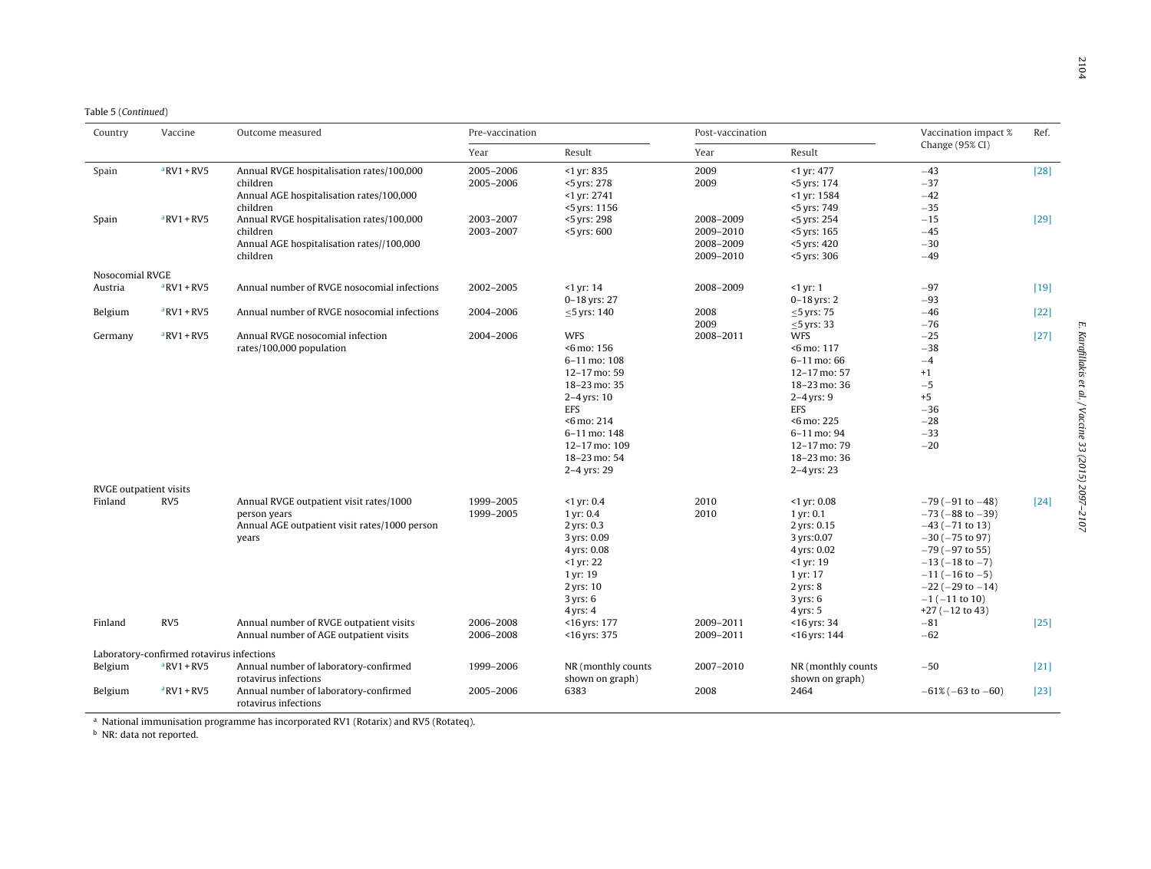<span id="page-7-0"></span>

| $RV1 + RV5$<br>Annual RVGE hospitalisation rates/100,000<br>Spain<br>children                       | Year<br>2005-2006<br>2005-2006 | Result<br>$<$ 1 yr: 835<br><5 yrs: 278 | Year<br>2009 | Result<br>$<$ 1 yr: 477 | Change (95% CI)            |        |
|-----------------------------------------------------------------------------------------------------|--------------------------------|----------------------------------------|--------------|-------------------------|----------------------------|--------|
|                                                                                                     |                                |                                        |              |                         |                            |        |
|                                                                                                     |                                |                                        |              |                         | $-43$                      | $[28]$ |
|                                                                                                     |                                |                                        | 2009         | <5 yrs: 174             | $-37$                      |        |
| Annual AGE hospitalisation rates/100,000                                                            |                                | $<$ 1 yr: 2741                         |              | $<$ 1 yr: 1584          | $-42$                      |        |
| children                                                                                            |                                | <5 yrs: 1156                           |              | <5 yrs: 749             | $-35$                      |        |
| $RVI + RV5$<br>Annual RVGE hospitalisation rates/100,000<br>Spain                                   | 2003-2007                      | <5 yrs: 298                            | 2008-2009    | <5 yrs: 254             | $-15$                      | $[29]$ |
| children                                                                                            | 2003-2007                      | <5 yrs: 600                            | 2009-2010    | <5 yrs: 165             | $-45$                      |        |
| Annual AGE hospitalisation rates//100,000                                                           |                                |                                        | 2008-2009    | <5 yrs: 420             | $-30$                      |        |
| children                                                                                            |                                |                                        | 2009-2010    | <5 yrs: 306             | $-49$                      |        |
| Nosocomial RVGE                                                                                     |                                |                                        |              |                         |                            |        |
| $\textdegree$ RV1 + RV5<br>Annual number of RVGE nosocomial infections<br>Austria                   | 2002-2005                      | $1$ vr: 14                             | 2008-2009    | $1$ yr: 1               | $-97$                      | $[19]$ |
|                                                                                                     |                                | $0 - 18$ yrs: 27                       |              | $0-18$ yrs: 2           | -93                        |        |
| $RVI + RV5$<br>Annual number of RVGE nosocomial infections<br>Belgium                               | 2004-2006                      | $\leq$ 5 yrs: 140                      | 2008         | $\leq$ 5 yrs: 75        | $-46$                      | $[22]$ |
|                                                                                                     |                                |                                        | 2009         | $\leq$ 5 yrs: 33        | $-76$                      |        |
| $\text{d}$ RV1 + RV5<br>Annual RVGE nosocomial infection<br>Germany                                 | 2004-2006                      | <b>WFS</b>                             | 2008-2011    | <b>WFS</b>              | $-25$                      | $[27]$ |
| rates/100,000 population                                                                            |                                | <6 mo: 156                             |              | <6 mo: 117              | $-38$                      |        |
|                                                                                                     |                                | 6-11 mo: 108                           |              | 6-11 mo: 66             | $-4$                       |        |
|                                                                                                     |                                | 12-17 mo: 59                           |              | 12-17 mo: 57            | $+1$                       |        |
|                                                                                                     |                                | 18-23 mo: 35                           |              | 18-23 mo: 36            | $-5$                       |        |
|                                                                                                     |                                | $2 - 4$ yrs: 10                        |              | $2 - 4$ yrs: 9          | $+5$                       |        |
|                                                                                                     |                                | EFS                                    |              | EFS                     | $-36$                      |        |
|                                                                                                     |                                | <6 mo: 214                             |              | <6 mo: 225              | $-28$                      |        |
|                                                                                                     |                                | 6-11 mo: 148                           |              | 6-11 mo: 94             | $-33$                      |        |
|                                                                                                     |                                | 12-17 mo: 109                          |              | 12-17 mo: 79            | $-20$                      |        |
|                                                                                                     |                                | 18-23 mo: 54                           |              | 18-23 mo: 36            |                            |        |
|                                                                                                     |                                | $2 - 4$ yrs: 29                        |              | $2 - 4$ yrs: 23         |                            |        |
| RVGE outpatient visits                                                                              |                                |                                        |              |                         |                            |        |
| Finland<br>RV <sub>5</sub><br>Annual RVGE outpatient visit rates/1000                               | 1999-2005                      | $1 \text{ yr}$ : 0.4                   | 2010         | $1 \text{ yr}$ : 0.08   | $-79(-91$ to $-48$ )       | $[24]$ |
| person years                                                                                        | 1999-2005                      | $1 \,\text{yr}$ : 0.4                  | 2010         | 1 yr: 0.1               | $-73(-88$ to $-39)$        |        |
| Annual AGE outpatient visit rates/1000 person                                                       |                                | $2$ yrs: $0.3$                         |              | 2 yrs: 0.15             | $-43$ ( $-71$ to 13)       |        |
| years                                                                                               |                                | 3 yrs: 0.09                            |              | 3 yrs:0.07              | $-30$ ( $-75$ to 97)       |        |
|                                                                                                     |                                | 4 yrs: 0.08                            |              | 4 yrs: 0.02             | $-79$ ( $-97$ to 55)       |        |
|                                                                                                     |                                | $<1$ yr: 22                            |              | $1 \text{ yr}$ : 19     | $-13(-18 \text{ to } -7)$  |        |
|                                                                                                     |                                | 1 yr: 19                               |              | 1 yr: 17                | $-11$ ( $-16$ to $-5$ )    |        |
|                                                                                                     |                                | 2 yrs: 10                              |              | $2$ yrs: $8$            | $-22$ ( $-29$ to $-14$ )   |        |
|                                                                                                     |                                | $3$ yrs: $6$                           |              | 3 yrs: 6                | $-1$ ( $-11$ to 10)        |        |
|                                                                                                     |                                | $4$ yrs: $4$                           |              | $4$ yrs: 5              | $+27(-12 \text{ to } 43)$  |        |
| RV <sub>5</sub><br>Annual number of RVGE outpatient visits<br>Finland                               | 2006-2008                      | $<$ 16 yrs: 177                        | 2009-2011    | $<$ 16 yrs: 34          | $-81$                      | $[25]$ |
| Annual number of AGE outpatient visits                                                              | 2006-2008                      | $<$ 16 yrs: 375                        | 2009-2011    | $<$ 16 yrs: 144         | $-62$                      |        |
| Laboratory-confirmed rotavirus infections                                                           |                                |                                        |              |                         |                            |        |
| Annual number of laboratory-confirmed<br>Belgium<br>$RV1 + RV5$                                     | 1999-2006                      | NR (monthly counts                     | 2007-2010    | NR (monthly counts)     | $-50$                      | $[21]$ |
| rotavirus infections                                                                                |                                | shown on graph)                        |              | shown on graph)         |                            |        |
| Annual number of laboratory-confirmed<br>Belgium<br>$\textdegree$ RV1 + RV5<br>rotavirus infections | 2005-2006                      | 6383                                   | 2008         | 2464                    | $-61\%$ ( $-63$ to $-60$ ) | $[23]$ |

a National immunisation programme has incorporated RV1 (Rotarix) and RV5 (Rotateq).

<sup>b</sup> NR: data not reported.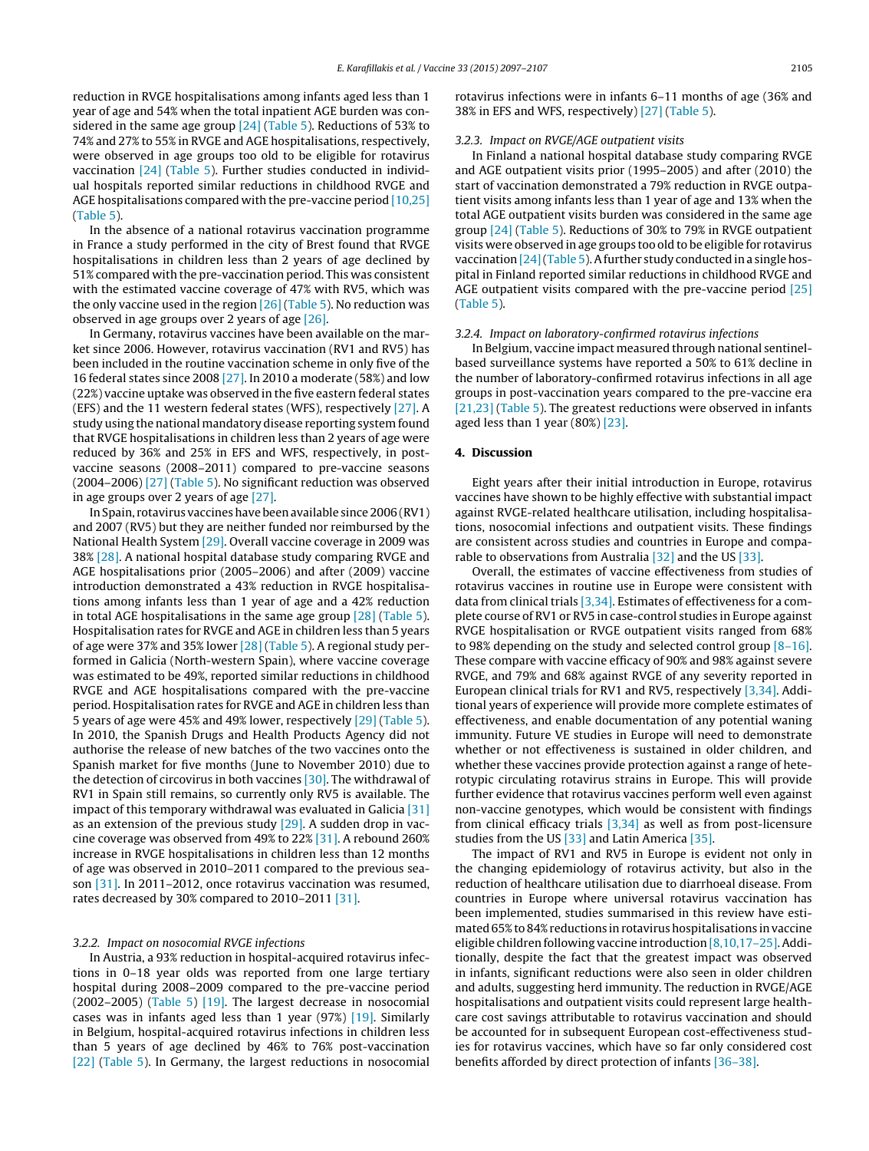reduction in RVGE hospitalisations among infants aged less than 1 year of age and 54% when the total inpatient AGE burden was considered in the same age group [\[24\]](#page-9-0) ([Table](#page-6-0) 5). Reductions of 53% to 74% and 27% to 55% in RVGE and AGE hospitalisations, respectively, were observed in age groups too old to be eligible for rotavirus vaccination [\[24\]](#page-9-0) ([Table](#page-6-0) 5). Further studies conducted in individual hospitals reported similar reductions in childhood RVGE and AGE hospitalisations compared with the pre-vaccine period [\[10,25\]](#page-9-0) ([Table](#page-6-0) 5).

In the absence of a national rotavirus vaccination programme in France a study performed in the city of Brest found that RVGE hospitalisations in children less than 2 years of age declined by 51% compared with the pre-vaccination period. This was consistent with the estimated vaccine coverage of 47% with RV5, which was the only vaccine used in the region  $[26]$  ([Table](#page-6-0) 5). No reduction was observed in age groups over 2 years of age [\[26\].](#page-9-0)

In Germany, rotavirus vaccines have been available on the market since 2006. However, rotavirus vaccination (RV1 and RV5) has been included in the routine vaccination scheme in only five of the 16 federal states since 2008 [\[27\].](#page-9-0) In 2010 a moderate (58%) and low (22%) vaccine uptake was observed in the five eastern federal states (EFS) and the 11 western federal states (WFS), respectively [\[27\].](#page-9-0) A study using the national mandatory disease reporting system found that RVGE hospitalisations in children less than 2 years of age were reduced by 36% and 25% in EFS and WFS, respectively, in postvaccine seasons (2008–2011) compared to pre-vaccine seasons (2004–2006) [\[27\]](#page-9-0) ([Table](#page-6-0) 5). No significant reduction was observed in age groups over 2 years of age [\[27\].](#page-9-0)

InSpain, rotavirus vaccineshave beenavailable since 2006 (RV1) and 2007 (RV5) but they are neither funded nor reimbursed by the National Health System [\[29\].](#page-10-0) Overall vaccine coverage in 2009 was 38% [\[28\].](#page-10-0) A national hospital database study comparing RVGE and AGE hospitalisations prior (2005–2006) and after (2009) vaccine introduction demonstrated a 43% reduction in RVGE hospitalisations among infants less than 1 year of age and a 42% reduction in total AGE hospitalisations in the same age group [\[28\]](#page-10-0) ([Table](#page-6-0) 5). Hospitalisation rates for RVGE and AGE in children less than 5 years of age were 37% and 35% lower [\[28\]](#page-10-0) [\(Table](#page-6-0) 5). A regional study performed in Galicia (North-western Spain), where vaccine coverage was estimated to be 49%, reported similar reductions in childhood RVGE and AGE hospitalisations compared with the pre-vaccine period. Hospitalisation rates for RVGE and AGE in children less than 5 years of age were 45% and 49% lower, respectively [\[29\]](#page-10-0) ([Table](#page-6-0) 5). In 2010, the Spanish Drugs and Health Products Agency did not authorise the release of new batches of the two vaccines onto the Spanish market for five months (June to November 2010) due to the detection of circovirus in both vaccines [\[30\].](#page-10-0) The withdrawal of RV1 in Spain still remains, so currently only RV5 is available. The impact of this temporary withdrawal was evaluated in Galicia  $[31]$ as an extension of the previous study [\[29\].](#page-10-0) A sudden drop in vaccine coverage was observed from 49% to 22% [\[31\].](#page-10-0) A rebound 260% increase in RVGE hospitalisations in children less than 12 months of age was observed in 2010–2011 compared to the previous season [\[31\].](#page-10-0) In 2011–2012, once rotavirus vaccination was resumed, rates decreased by 30% compared to 2010–2011 [\[31\].](#page-10-0)

#### 3.2.2. Impact on nosocomial RVGE infections

In Austria, a 93% reduction in hospital-acquired rotavirus infections in 0–18 year olds was reported from one large tertiary hospital during 2008–2009 compared to the pre-vaccine period (2002–2005) ([Table](#page-6-0) 5) [\[19\].](#page-9-0) The largest decrease in nosocomial cases was in infants aged less than 1 year (97%) [\[19\].](#page-9-0) Similarly in Belgium, hospital-acquired rotavirus infections in children less than 5 years of age declined by 46% to 76% post-vaccination [\[22\]](#page-9-0) [\(Table](#page-6-0) 5). In Germany, the largest reductions in nosocomial

rotavirus infections were in infants 6–11 months of age (36% and 38% in EFS and WFS, respectively) [\[27\]](#page-9-0) ([Table](#page-6-0) 5).

#### 3.2.3. Impact on RVGE/AGE outpatient visits

In Finland a national hospital database study comparing RVGE and AGE outpatient visits prior (1995–2005) and after (2010) the start of vaccination demonstrated a 79% reduction in RVGE outpatient visits among infants less than 1 year of age and 13% when the total AGE outpatient visits burden was considered in the same age group [\[24\]](#page-9-0) ([Table](#page-6-0) 5). Reductions of 30% to 79% in RVGE outpatient visits were observed in age groups too old to be eligible for rotavirus vaccination  $[24]$  ([Table](#page-6-0) 5). A further study conducted in a single hospital in Finland reported similar reductions in childhood RVGE and AGE outpatient visits compared with the pre-vaccine period [\[25\]](#page-9-0) [\(Table](#page-6-0) 5).

#### 3.2.4. Impact on laboratory-confirmed rotavirus infections

In Belgium, vaccine impact measured through national sentinelbased surveillance systems have reported a 50% to 61% decline in the number of laboratory-confirmed rotavirus infections in all age groups in post-vaccination years compared to the pre-vaccine era [\[21,23\]](#page-9-0) [\(Table](#page-6-0) 5). The greatest reductions were observed in infants aged less than 1 year (80%) [\[23\].](#page-9-0)

#### **4. Discussion**

Eight years after their initial introduction in Europe, rotavirus vaccines have shown to be highly effective with substantial impact against RVGE-related healthcare utilisation, including hospitalisations, nosocomial infections and outpatient visits. These findings are consistent across studies and countries in Europe and comparable to observations from Australia [\[32\]](#page-10-0) and the US [\[33\].](#page-10-0)

Overall, the estimates of vaccine effectiveness from studies of rotavirus vaccines in routine use in Europe were consistent with data from clinical trials [\[3,34\].](#page-9-0) Estimates of effectiveness for a complete course of RV1 or RV5 in case-control studies in Europe against RVGE hospitalisation or RVGE outpatient visits ranged from 68% to 98% depending on the study and selected control group [\[8–16\].](#page-9-0) These compare with vaccine efficacy of 90% and 98% against severe RVGE, and 79% and 68% against RVGE of any severity reported in European clinical trials for RV1 and RV5, respectively [\[3,34\].](#page-9-0) Additional years of experience will provide more complete estimates of effectiveness, and enable documentation of any potential waning immunity. Future VE studies in Europe will need to demonstrate whether or not effectiveness is sustained in older children, and whether these vaccines provide protection against a range of heterotypic circulating rotavirus strains in Europe. This will provide further evidence that rotavirus vaccines perform well even against non-vaccine genotypes, which would be consistent with findings from clinical efficacy trials [\[3,34\]](#page-9-0) as well as from post-licensure studies from the US [\[33\]](#page-10-0) and Latin America [\[35\].](#page-10-0)

The impact of RV1 and RV5 in Europe is evident not only in the changing epidemiology of rotavirus activity, but also in the reduction of healthcare utilisation due to diarrhoeal disease. From countries in Europe where universal rotavirus vaccination has been implemented, studies summarised in this review have estimated 65% to 84% reductions in rotavirus hospitalisations in vaccine eligible children following vaccine introduction [\[8,10,17–25\].A](#page-9-0)dditionally, despite the fact that the greatest impact was observed in infants, significant reductions were also seen in older children and adults, suggesting herd immunity. The reduction in RVGE/AGE hospitalisations and outpatient visits could represent large healthcare cost savings attributable to rotavirus vaccination and should be accounted for in subsequent European cost-effectiveness studies for rotavirus vaccines, which have so far only considered cost benefits afforded by direct protection of infants [\[36–38\].](#page-10-0)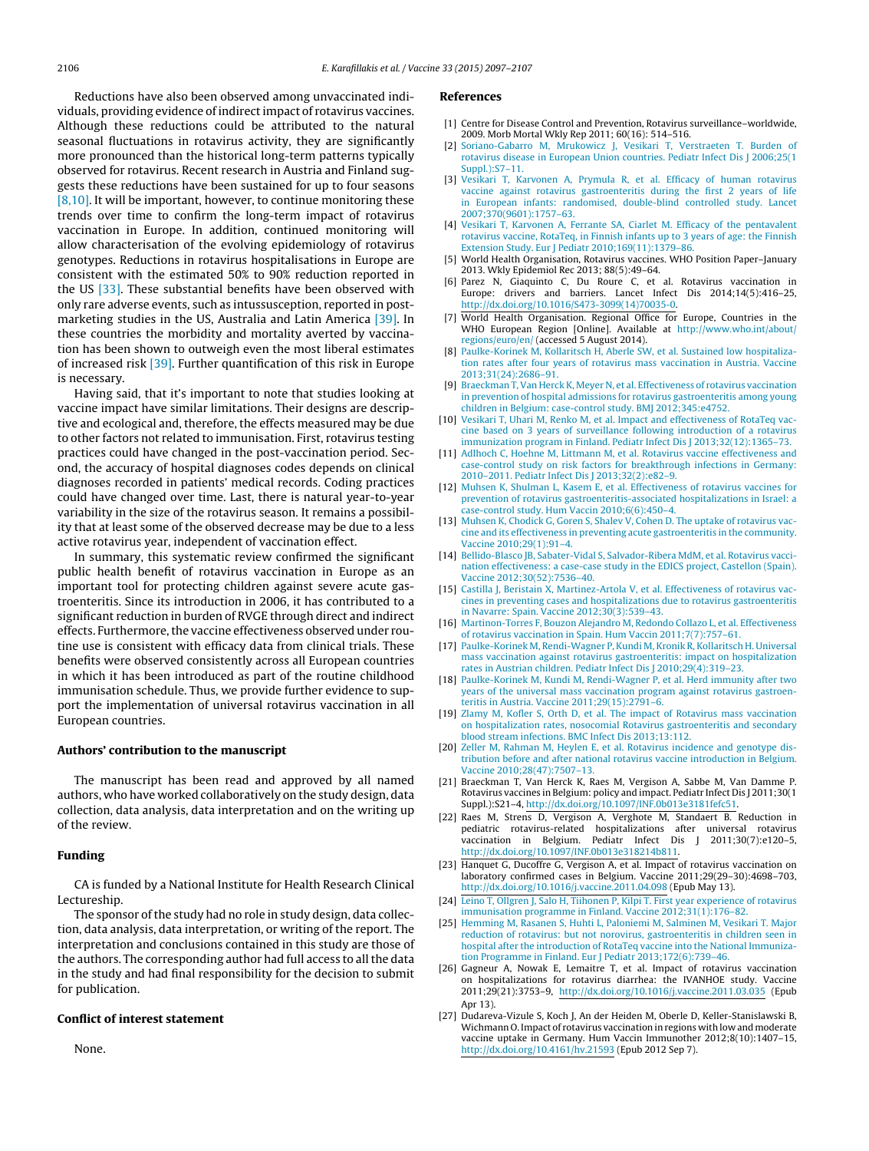<span id="page-9-0"></span>Reductions have also been observed among unvaccinated individuals, providing evidence of indirect impact of rotavirus vaccines. Although these reductions could be attributed to the natural seasonal fluctuations in rotavirus activity, they are significantly more pronounced than the historical long-term patterns typically observed for rotavirus. Recent research in Austria and Finland suggests these reductions have been sustained for up to four seasons  $[8,10]$ . It will be important, however, to continue monitoring these trends over time to confirm the long-term impact of rotavirus vaccination in Europe. In addition, continued monitoring will allow characterisation of the evolving epidemiology of rotavirus genotypes. Reductions in rotavirus hospitalisations in Europe are consistent with the estimated 50% to 90% reduction reported in the US [\[33\].](#page-10-0) These substantial benefits have been observed with only rare adverse events, such as intussusception, reported in postmarketing studies in the US, Australia and Latin America [\[39\].](#page-10-0) In these countries the morbidity and mortality averted by vaccination has been shown to outweigh even the most liberal estimates of increased risk [\[39\].](#page-10-0) Further quantification of this risk in Europe is necessary.

Having said, that it's important to note that studies looking at vaccine impact have similar limitations. Their designs are descriptive and ecological and, therefore, the effects measured may be due to other factors not related to immunisation. First, rotavirus testing practices could have changed in the post-vaccination period. Second, the accuracy of hospital diagnoses codes depends on clinical diagnoses recorded in patients' medical records. Coding practices could have changed over time. Last, there is natural year-to-year variability in the size of the rotavirus season. It remains a possibility that at least some of the observed decrease may be due to a less active rotavirus year, independent of vaccination effect.

In summary, this systematic review confirmed the significant public health benefit of rotavirus vaccination in Europe as an important tool for protecting children against severe acute gastroenteritis. Since its introduction in 2006, it has contributed to a significant reduction in burden of RVGE through direct and indirect effects. Furthermore, the vaccine effectiveness observed under routine use is consistent with efficacy data from clinical trials. These benefits were observed consistently across all European countries in which it has been introduced as part of the routine childhood immunisation schedule. Thus, we provide further evidence to support the implementation of universal rotavirus vaccination in all European countries.

#### **Authors' contribution to the manuscript**

The manuscript has been read and approved by all named authors, who have worked collaboratively on the study design, data collection, data analysis, data interpretation and on the writing up of the review.

#### **Funding**

CA is funded by a National Institute for Health Research Clinical Lectureship.

The sponsor of the study had no role in study design, data collection, data analysis, data interpretation, or writing of the report. The interpretation and conclusions contained in this study are those of the authors. The corresponding author had full access to all the data in the study and had final responsibility for the decision to submit for publication.

## **Conflict of interest statement**

None.

#### **References**

- [1] Centre for Disease Control and Prevention, Rotavirus surveillance–worldwide, 2009. Morb Mortal Wkly Rep 2011; 60(16): 514–516.
- [2] [Soriano-Gabarro](http://refhub.elsevier.com/S0264-410X(15)00304-7/sbref0205) [M,](http://refhub.elsevier.com/S0264-410X(15)00304-7/sbref0205) [Mrukowicz](http://refhub.elsevier.com/S0264-410X(15)00304-7/sbref0205) [J,](http://refhub.elsevier.com/S0264-410X(15)00304-7/sbref0205) [Vesikari](http://refhub.elsevier.com/S0264-410X(15)00304-7/sbref0205) [T,](http://refhub.elsevier.com/S0264-410X(15)00304-7/sbref0205) [Verstraeten](http://refhub.elsevier.com/S0264-410X(15)00304-7/sbref0205) [T.](http://refhub.elsevier.com/S0264-410X(15)00304-7/sbref0205) [Burden](http://refhub.elsevier.com/S0264-410X(15)00304-7/sbref0205) [of](http://refhub.elsevier.com/S0264-410X(15)00304-7/sbref0205) [rotavirus](http://refhub.elsevier.com/S0264-410X(15)00304-7/sbref0205) [disease](http://refhub.elsevier.com/S0264-410X(15)00304-7/sbref0205) [in](http://refhub.elsevier.com/S0264-410X(15)00304-7/sbref0205) [European](http://refhub.elsevier.com/S0264-410X(15)00304-7/sbref0205) [Union](http://refhub.elsevier.com/S0264-410X(15)00304-7/sbref0205) [countries.](http://refhub.elsevier.com/S0264-410X(15)00304-7/sbref0205) [Pediatr](http://refhub.elsevier.com/S0264-410X(15)00304-7/sbref0205) [Infect](http://refhub.elsevier.com/S0264-410X(15)00304-7/sbref0205) [Dis](http://refhub.elsevier.com/S0264-410X(15)00304-7/sbref0205) [J](http://refhub.elsevier.com/S0264-410X(15)00304-7/sbref0205) [2006;25\(1](http://refhub.elsevier.com/S0264-410X(15)00304-7/sbref0205) [Suppl.\):S7](http://refhub.elsevier.com/S0264-410X(15)00304-7/sbref0205)–[11.](http://refhub.elsevier.com/S0264-410X(15)00304-7/sbref0205)
- [3] [Vesikari](http://refhub.elsevier.com/S0264-410X(15)00304-7/sbref0210) [T,](http://refhub.elsevier.com/S0264-410X(15)00304-7/sbref0210) [Karvonen](http://refhub.elsevier.com/S0264-410X(15)00304-7/sbref0210) [A,](http://refhub.elsevier.com/S0264-410X(15)00304-7/sbref0210) [Prymula](http://refhub.elsevier.com/S0264-410X(15)00304-7/sbref0210) [R,](http://refhub.elsevier.com/S0264-410X(15)00304-7/sbref0210) [et](http://refhub.elsevier.com/S0264-410X(15)00304-7/sbref0210) [al.](http://refhub.elsevier.com/S0264-410X(15)00304-7/sbref0210) [Efficacy](http://refhub.elsevier.com/S0264-410X(15)00304-7/sbref0210) [of](http://refhub.elsevier.com/S0264-410X(15)00304-7/sbref0210) [human](http://refhub.elsevier.com/S0264-410X(15)00304-7/sbref0210) [rotavirus](http://refhub.elsevier.com/S0264-410X(15)00304-7/sbref0210) [vaccine](http://refhub.elsevier.com/S0264-410X(15)00304-7/sbref0210) [against](http://refhub.elsevier.com/S0264-410X(15)00304-7/sbref0210) [rotavirus](http://refhub.elsevier.com/S0264-410X(15)00304-7/sbref0210) [gastroenteritis](http://refhub.elsevier.com/S0264-410X(15)00304-7/sbref0210) [during](http://refhub.elsevier.com/S0264-410X(15)00304-7/sbref0210) [the](http://refhub.elsevier.com/S0264-410X(15)00304-7/sbref0210) [first](http://refhub.elsevier.com/S0264-410X(15)00304-7/sbref0210) [2](http://refhub.elsevier.com/S0264-410X(15)00304-7/sbref0210) [years](http://refhub.elsevier.com/S0264-410X(15)00304-7/sbref0210) [of](http://refhub.elsevier.com/S0264-410X(15)00304-7/sbref0210) [life](http://refhub.elsevier.com/S0264-410X(15)00304-7/sbref0210) [in](http://refhub.elsevier.com/S0264-410X(15)00304-7/sbref0210) [European](http://refhub.elsevier.com/S0264-410X(15)00304-7/sbref0210) [infants:](http://refhub.elsevier.com/S0264-410X(15)00304-7/sbref0210) [randomised,](http://refhub.elsevier.com/S0264-410X(15)00304-7/sbref0210) [double-blind](http://refhub.elsevier.com/S0264-410X(15)00304-7/sbref0210) [controlled](http://refhub.elsevier.com/S0264-410X(15)00304-7/sbref0210) [study.](http://refhub.elsevier.com/S0264-410X(15)00304-7/sbref0210) [Lancet](http://refhub.elsevier.com/S0264-410X(15)00304-7/sbref0210) [2007;370\(9601\):1757](http://refhub.elsevier.com/S0264-410X(15)00304-7/sbref0210)–[63.](http://refhub.elsevier.com/S0264-410X(15)00304-7/sbref0210)
- [4] [Vesikari](http://refhub.elsevier.com/S0264-410X(15)00304-7/sbref0215) [T,](http://refhub.elsevier.com/S0264-410X(15)00304-7/sbref0215) [Karvonen](http://refhub.elsevier.com/S0264-410X(15)00304-7/sbref0215) [A,](http://refhub.elsevier.com/S0264-410X(15)00304-7/sbref0215) [Ferrante](http://refhub.elsevier.com/S0264-410X(15)00304-7/sbref0215) [SA,](http://refhub.elsevier.com/S0264-410X(15)00304-7/sbref0215) [Ciarlet](http://refhub.elsevier.com/S0264-410X(15)00304-7/sbref0215) [M.](http://refhub.elsevier.com/S0264-410X(15)00304-7/sbref0215) [Efficacy](http://refhub.elsevier.com/S0264-410X(15)00304-7/sbref0215) [of](http://refhub.elsevier.com/S0264-410X(15)00304-7/sbref0215) [the](http://refhub.elsevier.com/S0264-410X(15)00304-7/sbref0215) [pentavalent](http://refhub.elsevier.com/S0264-410X(15)00304-7/sbref0215) [rotavirus](http://refhub.elsevier.com/S0264-410X(15)00304-7/sbref0215) [vaccine,](http://refhub.elsevier.com/S0264-410X(15)00304-7/sbref0215) [RotaTeq,](http://refhub.elsevier.com/S0264-410X(15)00304-7/sbref0215) [in](http://refhub.elsevier.com/S0264-410X(15)00304-7/sbref0215) [Finnish](http://refhub.elsevier.com/S0264-410X(15)00304-7/sbref0215) [infants](http://refhub.elsevier.com/S0264-410X(15)00304-7/sbref0215) [up](http://refhub.elsevier.com/S0264-410X(15)00304-7/sbref0215) [to](http://refhub.elsevier.com/S0264-410X(15)00304-7/sbref0215) [3](http://refhub.elsevier.com/S0264-410X(15)00304-7/sbref0215) [years](http://refhub.elsevier.com/S0264-410X(15)00304-7/sbref0215) [of](http://refhub.elsevier.com/S0264-410X(15)00304-7/sbref0215) [age:](http://refhub.elsevier.com/S0264-410X(15)00304-7/sbref0215) [the](http://refhub.elsevier.com/S0264-410X(15)00304-7/sbref0215) [Finnish](http://refhub.elsevier.com/S0264-410X(15)00304-7/sbref0215) [Extension](http://refhub.elsevier.com/S0264-410X(15)00304-7/sbref0215) [Study.](http://refhub.elsevier.com/S0264-410X(15)00304-7/sbref0215) [Eur](http://refhub.elsevier.com/S0264-410X(15)00304-7/sbref0215) [J](http://refhub.elsevier.com/S0264-410X(15)00304-7/sbref0215) [Pediatr](http://refhub.elsevier.com/S0264-410X(15)00304-7/sbref0215) [2010;169\(11\):1379](http://refhub.elsevier.com/S0264-410X(15)00304-7/sbref0215)–[86.](http://refhub.elsevier.com/S0264-410X(15)00304-7/sbref0215)
- [5] World Health Organisation, Rotavirus vaccines. WHO Position Paper–January 2013. Wkly Epidemiol Rec 2013; 88(5):49–64.
- [6] Parez N, Giaquinto C, Du Roure C, et al. Rotavirus vaccination in Europe: drivers and barriers. Lancet Infect Dis 2014;14(5):416–25, [http://dx.doi.org/10.1016/S473-3099\(14\)70035-0.](dx.doi.org/10.1016/S473-3099(14)70035-0)
- [7] World Health Organisation. Regional Office for Europe, Countries in the WHO European Region [Online]. Available at [http://www.who.int/about/](http://www.who.int/about/regions/euro/en/) [regions/euro/en/](http://www.who.int/about/regions/euro/en/) (accessed 5 August 2014).
- [8] [Paulke-Korinek](http://refhub.elsevier.com/S0264-410X(15)00304-7/sbref0235) [M,](http://refhub.elsevier.com/S0264-410X(15)00304-7/sbref0235) [Kollaritsch](http://refhub.elsevier.com/S0264-410X(15)00304-7/sbref0235) [H,](http://refhub.elsevier.com/S0264-410X(15)00304-7/sbref0235) [Aberle](http://refhub.elsevier.com/S0264-410X(15)00304-7/sbref0235) [SW,](http://refhub.elsevier.com/S0264-410X(15)00304-7/sbref0235) [et](http://refhub.elsevier.com/S0264-410X(15)00304-7/sbref0235) [al.](http://refhub.elsevier.com/S0264-410X(15)00304-7/sbref0235) [Sustained](http://refhub.elsevier.com/S0264-410X(15)00304-7/sbref0235) [low](http://refhub.elsevier.com/S0264-410X(15)00304-7/sbref0235) [hospitaliza](http://refhub.elsevier.com/S0264-410X(15)00304-7/sbref0235)[tion](http://refhub.elsevier.com/S0264-410X(15)00304-7/sbref0235) [rates](http://refhub.elsevier.com/S0264-410X(15)00304-7/sbref0235) [after](http://refhub.elsevier.com/S0264-410X(15)00304-7/sbref0235) [four](http://refhub.elsevier.com/S0264-410X(15)00304-7/sbref0235) [years](http://refhub.elsevier.com/S0264-410X(15)00304-7/sbref0235) [of](http://refhub.elsevier.com/S0264-410X(15)00304-7/sbref0235) [rotavirus](http://refhub.elsevier.com/S0264-410X(15)00304-7/sbref0235) [mass](http://refhub.elsevier.com/S0264-410X(15)00304-7/sbref0235) [vaccination](http://refhub.elsevier.com/S0264-410X(15)00304-7/sbref0235) [in](http://refhub.elsevier.com/S0264-410X(15)00304-7/sbref0235) [Austria.](http://refhub.elsevier.com/S0264-410X(15)00304-7/sbref0235) [Vaccine](http://refhub.elsevier.com/S0264-410X(15)00304-7/sbref0235) [2013;31\(24\):2686](http://refhub.elsevier.com/S0264-410X(15)00304-7/sbref0235)–[91.](http://refhub.elsevier.com/S0264-410X(15)00304-7/sbref0235)
- [9] [Braeckman](http://refhub.elsevier.com/S0264-410X(15)00304-7/sbref0240) [T,](http://refhub.elsevier.com/S0264-410X(15)00304-7/sbref0240) [Van](http://refhub.elsevier.com/S0264-410X(15)00304-7/sbref0240) [Herck](http://refhub.elsevier.com/S0264-410X(15)00304-7/sbref0240) [K,](http://refhub.elsevier.com/S0264-410X(15)00304-7/sbref0240) [Meyer](http://refhub.elsevier.com/S0264-410X(15)00304-7/sbref0240) [N,](http://refhub.elsevier.com/S0264-410X(15)00304-7/sbref0240) [et](http://refhub.elsevier.com/S0264-410X(15)00304-7/sbref0240) [al.](http://refhub.elsevier.com/S0264-410X(15)00304-7/sbref0240) [Effectiveness](http://refhub.elsevier.com/S0264-410X(15)00304-7/sbref0240) [of](http://refhub.elsevier.com/S0264-410X(15)00304-7/sbref0240) [rotavirus](http://refhub.elsevier.com/S0264-410X(15)00304-7/sbref0240) [vaccination](http://refhub.elsevier.com/S0264-410X(15)00304-7/sbref0240) [in](http://refhub.elsevier.com/S0264-410X(15)00304-7/sbref0240) [prevention](http://refhub.elsevier.com/S0264-410X(15)00304-7/sbref0240) [of](http://refhub.elsevier.com/S0264-410X(15)00304-7/sbref0240) [hospital](http://refhub.elsevier.com/S0264-410X(15)00304-7/sbref0240) [admissions](http://refhub.elsevier.com/S0264-410X(15)00304-7/sbref0240) [for](http://refhub.elsevier.com/S0264-410X(15)00304-7/sbref0240) [rotavirus](http://refhub.elsevier.com/S0264-410X(15)00304-7/sbref0240) [gastroenteritis](http://refhub.elsevier.com/S0264-410X(15)00304-7/sbref0240) [among](http://refhub.elsevier.com/S0264-410X(15)00304-7/sbref0240) [young](http://refhub.elsevier.com/S0264-410X(15)00304-7/sbref0240) [children](http://refhub.elsevier.com/S0264-410X(15)00304-7/sbref0240) [in](http://refhub.elsevier.com/S0264-410X(15)00304-7/sbref0240) [Belgium:](http://refhub.elsevier.com/S0264-410X(15)00304-7/sbref0240) [case-control](http://refhub.elsevier.com/S0264-410X(15)00304-7/sbref0240) [study.](http://refhub.elsevier.com/S0264-410X(15)00304-7/sbref0240) [BMJ](http://refhub.elsevier.com/S0264-410X(15)00304-7/sbref0240) [2012;345:e4752.](http://refhub.elsevier.com/S0264-410X(15)00304-7/sbref0240)
- [10] [Vesikari](http://refhub.elsevier.com/S0264-410X(15)00304-7/sbref0245) [T,](http://refhub.elsevier.com/S0264-410X(15)00304-7/sbref0245) [Uhari](http://refhub.elsevier.com/S0264-410X(15)00304-7/sbref0245) [M,](http://refhub.elsevier.com/S0264-410X(15)00304-7/sbref0245) [Renko](http://refhub.elsevier.com/S0264-410X(15)00304-7/sbref0245) [M,](http://refhub.elsevier.com/S0264-410X(15)00304-7/sbref0245) [et](http://refhub.elsevier.com/S0264-410X(15)00304-7/sbref0245) [al.](http://refhub.elsevier.com/S0264-410X(15)00304-7/sbref0245) [Impact](http://refhub.elsevier.com/S0264-410X(15)00304-7/sbref0245) [and](http://refhub.elsevier.com/S0264-410X(15)00304-7/sbref0245) [effectiveness](http://refhub.elsevier.com/S0264-410X(15)00304-7/sbref0245) [of](http://refhub.elsevier.com/S0264-410X(15)00304-7/sbref0245) [RotaTeq](http://refhub.elsevier.com/S0264-410X(15)00304-7/sbref0245) [vac](http://refhub.elsevier.com/S0264-410X(15)00304-7/sbref0245)[cine](http://refhub.elsevier.com/S0264-410X(15)00304-7/sbref0245) [based](http://refhub.elsevier.com/S0264-410X(15)00304-7/sbref0245) [on](http://refhub.elsevier.com/S0264-410X(15)00304-7/sbref0245) [3](http://refhub.elsevier.com/S0264-410X(15)00304-7/sbref0245) [years](http://refhub.elsevier.com/S0264-410X(15)00304-7/sbref0245) [of](http://refhub.elsevier.com/S0264-410X(15)00304-7/sbref0245) [surveillance](http://refhub.elsevier.com/S0264-410X(15)00304-7/sbref0245) [following](http://refhub.elsevier.com/S0264-410X(15)00304-7/sbref0245) [introduction](http://refhub.elsevier.com/S0264-410X(15)00304-7/sbref0245) [of](http://refhub.elsevier.com/S0264-410X(15)00304-7/sbref0245) [a](http://refhub.elsevier.com/S0264-410X(15)00304-7/sbref0245) [rotavirus](http://refhub.elsevier.com/S0264-410X(15)00304-7/sbref0245) [immunization](http://refhub.elsevier.com/S0264-410X(15)00304-7/sbref0245) [program](http://refhub.elsevier.com/S0264-410X(15)00304-7/sbref0245) [in](http://refhub.elsevier.com/S0264-410X(15)00304-7/sbref0245) [Finland.](http://refhub.elsevier.com/S0264-410X(15)00304-7/sbref0245) [Pediatr](http://refhub.elsevier.com/S0264-410X(15)00304-7/sbref0245) [Infect](http://refhub.elsevier.com/S0264-410X(15)00304-7/sbref0245) [Dis](http://refhub.elsevier.com/S0264-410X(15)00304-7/sbref0245) [J](http://refhub.elsevier.com/S0264-410X(15)00304-7/sbref0245) [2013;32\(12\):1365–73.](http://refhub.elsevier.com/S0264-410X(15)00304-7/sbref0245)
- [11] [Adlhoch](http://refhub.elsevier.com/S0264-410X(15)00304-7/sbref0250) [C,](http://refhub.elsevier.com/S0264-410X(15)00304-7/sbref0250) [Hoehne](http://refhub.elsevier.com/S0264-410X(15)00304-7/sbref0250) [M,](http://refhub.elsevier.com/S0264-410X(15)00304-7/sbref0250) [Littmann](http://refhub.elsevier.com/S0264-410X(15)00304-7/sbref0250) M, [et](http://refhub.elsevier.com/S0264-410X(15)00304-7/sbref0250) [al.](http://refhub.elsevier.com/S0264-410X(15)00304-7/sbref0250) [Rotavirus](http://refhub.elsevier.com/S0264-410X(15)00304-7/sbref0250) [vaccine](http://refhub.elsevier.com/S0264-410X(15)00304-7/sbref0250) [effectiveness](http://refhub.elsevier.com/S0264-410X(15)00304-7/sbref0250) [and](http://refhub.elsevier.com/S0264-410X(15)00304-7/sbref0250) [case-control](http://refhub.elsevier.com/S0264-410X(15)00304-7/sbref0250) [study](http://refhub.elsevier.com/S0264-410X(15)00304-7/sbref0250) [on](http://refhub.elsevier.com/S0264-410X(15)00304-7/sbref0250) [risk](http://refhub.elsevier.com/S0264-410X(15)00304-7/sbref0250) [factors](http://refhub.elsevier.com/S0264-410X(15)00304-7/sbref0250) [for](http://refhub.elsevier.com/S0264-410X(15)00304-7/sbref0250) [breakthrough](http://refhub.elsevier.com/S0264-410X(15)00304-7/sbref0250) [infections](http://refhub.elsevier.com/S0264-410X(15)00304-7/sbref0250) [in](http://refhub.elsevier.com/S0264-410X(15)00304-7/sbref0250) [Germany:](http://refhub.elsevier.com/S0264-410X(15)00304-7/sbref0250) [2010–2011.](http://refhub.elsevier.com/S0264-410X(15)00304-7/sbref0250) [Pediatr](http://refhub.elsevier.com/S0264-410X(15)00304-7/sbref0250) [Infect](http://refhub.elsevier.com/S0264-410X(15)00304-7/sbref0250) [Dis](http://refhub.elsevier.com/S0264-410X(15)00304-7/sbref0250) [J](http://refhub.elsevier.com/S0264-410X(15)00304-7/sbref0250) [2013;32\(2\):e82–9.](http://refhub.elsevier.com/S0264-410X(15)00304-7/sbref0250)
- [12] [Muhsen](http://refhub.elsevier.com/S0264-410X(15)00304-7/sbref0255) [K,](http://refhub.elsevier.com/S0264-410X(15)00304-7/sbref0255) [Shulman](http://refhub.elsevier.com/S0264-410X(15)00304-7/sbref0255) [L,](http://refhub.elsevier.com/S0264-410X(15)00304-7/sbref0255) [Kasem](http://refhub.elsevier.com/S0264-410X(15)00304-7/sbref0255) [E,](http://refhub.elsevier.com/S0264-410X(15)00304-7/sbref0255) [et](http://refhub.elsevier.com/S0264-410X(15)00304-7/sbref0255) [al.](http://refhub.elsevier.com/S0264-410X(15)00304-7/sbref0255) [Effectiveness](http://refhub.elsevier.com/S0264-410X(15)00304-7/sbref0255) [of](http://refhub.elsevier.com/S0264-410X(15)00304-7/sbref0255) [rotavirus](http://refhub.elsevier.com/S0264-410X(15)00304-7/sbref0255) [vaccines](http://refhub.elsevier.com/S0264-410X(15)00304-7/sbref0255) [for](http://refhub.elsevier.com/S0264-410X(15)00304-7/sbref0255) [prevention](http://refhub.elsevier.com/S0264-410X(15)00304-7/sbref0255) [of](http://refhub.elsevier.com/S0264-410X(15)00304-7/sbref0255) [rotavirus](http://refhub.elsevier.com/S0264-410X(15)00304-7/sbref0255) [gastroenteritis-associated](http://refhub.elsevier.com/S0264-410X(15)00304-7/sbref0255) [hospitalizations](http://refhub.elsevier.com/S0264-410X(15)00304-7/sbref0255) [in](http://refhub.elsevier.com/S0264-410X(15)00304-7/sbref0255) [Israel:](http://refhub.elsevier.com/S0264-410X(15)00304-7/sbref0255) [a](http://refhub.elsevier.com/S0264-410X(15)00304-7/sbref0255) [case-control](http://refhub.elsevier.com/S0264-410X(15)00304-7/sbref0255) [study.](http://refhub.elsevier.com/S0264-410X(15)00304-7/sbref0255) [Hum](http://refhub.elsevier.com/S0264-410X(15)00304-7/sbref0255) [Vaccin](http://refhub.elsevier.com/S0264-410X(15)00304-7/sbref0255) [2010;6\(6\):450](http://refhub.elsevier.com/S0264-410X(15)00304-7/sbref0255)–[4.](http://refhub.elsevier.com/S0264-410X(15)00304-7/sbref0255)
- [13] [Muhsen](http://refhub.elsevier.com/S0264-410X(15)00304-7/sbref0260) [K,](http://refhub.elsevier.com/S0264-410X(15)00304-7/sbref0260) [Chodick](http://refhub.elsevier.com/S0264-410X(15)00304-7/sbref0260) [G,](http://refhub.elsevier.com/S0264-410X(15)00304-7/sbref0260) [Goren](http://refhub.elsevier.com/S0264-410X(15)00304-7/sbref0260) [S,](http://refhub.elsevier.com/S0264-410X(15)00304-7/sbref0260) [Shalev](http://refhub.elsevier.com/S0264-410X(15)00304-7/sbref0260) [V,](http://refhub.elsevier.com/S0264-410X(15)00304-7/sbref0260) [Cohen](http://refhub.elsevier.com/S0264-410X(15)00304-7/sbref0260) [D.](http://refhub.elsevier.com/S0264-410X(15)00304-7/sbref0260) [The](http://refhub.elsevier.com/S0264-410X(15)00304-7/sbref0260) [uptake](http://refhub.elsevier.com/S0264-410X(15)00304-7/sbref0260) [of](http://refhub.elsevier.com/S0264-410X(15)00304-7/sbref0260) [rotavirus](http://refhub.elsevier.com/S0264-410X(15)00304-7/sbref0260) [vac](http://refhub.elsevier.com/S0264-410X(15)00304-7/sbref0260)[cine](http://refhub.elsevier.com/S0264-410X(15)00304-7/sbref0260) [and](http://refhub.elsevier.com/S0264-410X(15)00304-7/sbref0260) [its](http://refhub.elsevier.com/S0264-410X(15)00304-7/sbref0260) [effectiveness](http://refhub.elsevier.com/S0264-410X(15)00304-7/sbref0260) [in](http://refhub.elsevier.com/S0264-410X(15)00304-7/sbref0260) [preventing](http://refhub.elsevier.com/S0264-410X(15)00304-7/sbref0260) [acute](http://refhub.elsevier.com/S0264-410X(15)00304-7/sbref0260) [gastroenteritis](http://refhub.elsevier.com/S0264-410X(15)00304-7/sbref0260) [in](http://refhub.elsevier.com/S0264-410X(15)00304-7/sbref0260) [the](http://refhub.elsevier.com/S0264-410X(15)00304-7/sbref0260) [community.](http://refhub.elsevier.com/S0264-410X(15)00304-7/sbref0260) [Vaccine](http://refhub.elsevier.com/S0264-410X(15)00304-7/sbref0260) [2010;29\(1\):91–4.](http://refhub.elsevier.com/S0264-410X(15)00304-7/sbref0260)
- [14] [Bellido-Blasco](http://refhub.elsevier.com/S0264-410X(15)00304-7/sbref0265) [JB,](http://refhub.elsevier.com/S0264-410X(15)00304-7/sbref0265) [Sabater-Vidal](http://refhub.elsevier.com/S0264-410X(15)00304-7/sbref0265) [S,](http://refhub.elsevier.com/S0264-410X(15)00304-7/sbref0265) [Salvador-Ribera](http://refhub.elsevier.com/S0264-410X(15)00304-7/sbref0265) [MdM,](http://refhub.elsevier.com/S0264-410X(15)00304-7/sbref0265) [et](http://refhub.elsevier.com/S0264-410X(15)00304-7/sbref0265) [al.](http://refhub.elsevier.com/S0264-410X(15)00304-7/sbref0265) [Rotavirus](http://refhub.elsevier.com/S0264-410X(15)00304-7/sbref0265) [vacci](http://refhub.elsevier.com/S0264-410X(15)00304-7/sbref0265)[nation](http://refhub.elsevier.com/S0264-410X(15)00304-7/sbref0265) [effectiveness:](http://refhub.elsevier.com/S0264-410X(15)00304-7/sbref0265) [a](http://refhub.elsevier.com/S0264-410X(15)00304-7/sbref0265) [case-case](http://refhub.elsevier.com/S0264-410X(15)00304-7/sbref0265) [study](http://refhub.elsevier.com/S0264-410X(15)00304-7/sbref0265) [in](http://refhub.elsevier.com/S0264-410X(15)00304-7/sbref0265) [the](http://refhub.elsevier.com/S0264-410X(15)00304-7/sbref0265) [EDICS](http://refhub.elsevier.com/S0264-410X(15)00304-7/sbref0265) [project,](http://refhub.elsevier.com/S0264-410X(15)00304-7/sbref0265) [Castellon](http://refhub.elsevier.com/S0264-410X(15)00304-7/sbref0265) [\(Spain\).](http://refhub.elsevier.com/S0264-410X(15)00304-7/sbref0265) [Vaccine](http://refhub.elsevier.com/S0264-410X(15)00304-7/sbref0265) [2012;30\(52\):7536–40.](http://refhub.elsevier.com/S0264-410X(15)00304-7/sbref0265)
- [15] [Castilla](http://refhub.elsevier.com/S0264-410X(15)00304-7/sbref0270) [J,](http://refhub.elsevier.com/S0264-410X(15)00304-7/sbref0270) [Beristain](http://refhub.elsevier.com/S0264-410X(15)00304-7/sbref0270) [X,](http://refhub.elsevier.com/S0264-410X(15)00304-7/sbref0270) [Martinez-Artola](http://refhub.elsevier.com/S0264-410X(15)00304-7/sbref0270) [V,](http://refhub.elsevier.com/S0264-410X(15)00304-7/sbref0270) [et](http://refhub.elsevier.com/S0264-410X(15)00304-7/sbref0270) [al.](http://refhub.elsevier.com/S0264-410X(15)00304-7/sbref0270) [Effectiveness](http://refhub.elsevier.com/S0264-410X(15)00304-7/sbref0270) [of](http://refhub.elsevier.com/S0264-410X(15)00304-7/sbref0270) [rotavirus](http://refhub.elsevier.com/S0264-410X(15)00304-7/sbref0270) [vac](http://refhub.elsevier.com/S0264-410X(15)00304-7/sbref0270)[cines](http://refhub.elsevier.com/S0264-410X(15)00304-7/sbref0270) [in](http://refhub.elsevier.com/S0264-410X(15)00304-7/sbref0270) [preventing](http://refhub.elsevier.com/S0264-410X(15)00304-7/sbref0270) [cases](http://refhub.elsevier.com/S0264-410X(15)00304-7/sbref0270) [and](http://refhub.elsevier.com/S0264-410X(15)00304-7/sbref0270) [hospitalizations](http://refhub.elsevier.com/S0264-410X(15)00304-7/sbref0270) [due](http://refhub.elsevier.com/S0264-410X(15)00304-7/sbref0270) [to](http://refhub.elsevier.com/S0264-410X(15)00304-7/sbref0270) [rotavirus](http://refhub.elsevier.com/S0264-410X(15)00304-7/sbref0270) [gastroenteritis](http://refhub.elsevier.com/S0264-410X(15)00304-7/sbref0270) [in](http://refhub.elsevier.com/S0264-410X(15)00304-7/sbref0270) [Navarre:](http://refhub.elsevier.com/S0264-410X(15)00304-7/sbref0270) [Spain.](http://refhub.elsevier.com/S0264-410X(15)00304-7/sbref0270) [Vaccine](http://refhub.elsevier.com/S0264-410X(15)00304-7/sbref0270) [2012;30\(3\):539–43.](http://refhub.elsevier.com/S0264-410X(15)00304-7/sbref0270)
- [16] [Martinon-Torres](http://refhub.elsevier.com/S0264-410X(15)00304-7/sbref0275) [F,](http://refhub.elsevier.com/S0264-410X(15)00304-7/sbref0275) [Bouzon](http://refhub.elsevier.com/S0264-410X(15)00304-7/sbref0275) [Alejandro](http://refhub.elsevier.com/S0264-410X(15)00304-7/sbref0275) [M,](http://refhub.elsevier.com/S0264-410X(15)00304-7/sbref0275) [Redondo](http://refhub.elsevier.com/S0264-410X(15)00304-7/sbref0275) [Collazo](http://refhub.elsevier.com/S0264-410X(15)00304-7/sbref0275) [L,](http://refhub.elsevier.com/S0264-410X(15)00304-7/sbref0275) [et](http://refhub.elsevier.com/S0264-410X(15)00304-7/sbref0275) [al.](http://refhub.elsevier.com/S0264-410X(15)00304-7/sbref0275) [Effectiveness](http://refhub.elsevier.com/S0264-410X(15)00304-7/sbref0275) [of](http://refhub.elsevier.com/S0264-410X(15)00304-7/sbref0275) [rotavirus](http://refhub.elsevier.com/S0264-410X(15)00304-7/sbref0275) [vaccination](http://refhub.elsevier.com/S0264-410X(15)00304-7/sbref0275) [in](http://refhub.elsevier.com/S0264-410X(15)00304-7/sbref0275) [Spain.](http://refhub.elsevier.com/S0264-410X(15)00304-7/sbref0275) [Hum](http://refhub.elsevier.com/S0264-410X(15)00304-7/sbref0275) [Vaccin](http://refhub.elsevier.com/S0264-410X(15)00304-7/sbref0275) [2011;7\(7\):757–61.](http://refhub.elsevier.com/S0264-410X(15)00304-7/sbref0275)
- [17] [Paulke-Korinek](http://refhub.elsevier.com/S0264-410X(15)00304-7/sbref0280) [M,](http://refhub.elsevier.com/S0264-410X(15)00304-7/sbref0280) [Rendi-Wagner](http://refhub.elsevier.com/S0264-410X(15)00304-7/sbref0280) [P,](http://refhub.elsevier.com/S0264-410X(15)00304-7/sbref0280) [Kundi](http://refhub.elsevier.com/S0264-410X(15)00304-7/sbref0280) [M,](http://refhub.elsevier.com/S0264-410X(15)00304-7/sbref0280) [Kronik](http://refhub.elsevier.com/S0264-410X(15)00304-7/sbref0280) [R,](http://refhub.elsevier.com/S0264-410X(15)00304-7/sbref0280) [Kollaritsch](http://refhub.elsevier.com/S0264-410X(15)00304-7/sbref0280) [H.](http://refhub.elsevier.com/S0264-410X(15)00304-7/sbref0280) [Universal](http://refhub.elsevier.com/S0264-410X(15)00304-7/sbref0280) [mass](http://refhub.elsevier.com/S0264-410X(15)00304-7/sbref0280) [vaccination](http://refhub.elsevier.com/S0264-410X(15)00304-7/sbref0280) [against](http://refhub.elsevier.com/S0264-410X(15)00304-7/sbref0280) [rotavirus](http://refhub.elsevier.com/S0264-410X(15)00304-7/sbref0280) [gastroenteritis:](http://refhub.elsevier.com/S0264-410X(15)00304-7/sbref0280) [impact](http://refhub.elsevier.com/S0264-410X(15)00304-7/sbref0280) [on](http://refhub.elsevier.com/S0264-410X(15)00304-7/sbref0280) [hospitalization](http://refhub.elsevier.com/S0264-410X(15)00304-7/sbref0280) [rates](http://refhub.elsevier.com/S0264-410X(15)00304-7/sbref0280) [in](http://refhub.elsevier.com/S0264-410X(15)00304-7/sbref0280) [Austrian](http://refhub.elsevier.com/S0264-410X(15)00304-7/sbref0280) [children.](http://refhub.elsevier.com/S0264-410X(15)00304-7/sbref0280) [Pediatr](http://refhub.elsevier.com/S0264-410X(15)00304-7/sbref0280) [Infect](http://refhub.elsevier.com/S0264-410X(15)00304-7/sbref0280) [Dis](http://refhub.elsevier.com/S0264-410X(15)00304-7/sbref0280) [J](http://refhub.elsevier.com/S0264-410X(15)00304-7/sbref0280) [2010;29\(4\):319](http://refhub.elsevier.com/S0264-410X(15)00304-7/sbref0280)–[23.](http://refhub.elsevier.com/S0264-410X(15)00304-7/sbref0280)
- [18] [Paulke-Korinek](http://refhub.elsevier.com/S0264-410X(15)00304-7/sbref0285) [M,](http://refhub.elsevier.com/S0264-410X(15)00304-7/sbref0285) [Kundi](http://refhub.elsevier.com/S0264-410X(15)00304-7/sbref0285) [M,](http://refhub.elsevier.com/S0264-410X(15)00304-7/sbref0285) [Rendi-Wagner](http://refhub.elsevier.com/S0264-410X(15)00304-7/sbref0285) [P,](http://refhub.elsevier.com/S0264-410X(15)00304-7/sbref0285) [et](http://refhub.elsevier.com/S0264-410X(15)00304-7/sbref0285) [al.](http://refhub.elsevier.com/S0264-410X(15)00304-7/sbref0285) [Herd](http://refhub.elsevier.com/S0264-410X(15)00304-7/sbref0285) [immunity](http://refhub.elsevier.com/S0264-410X(15)00304-7/sbref0285) [after](http://refhub.elsevier.com/S0264-410X(15)00304-7/sbref0285) [two](http://refhub.elsevier.com/S0264-410X(15)00304-7/sbref0285) [years](http://refhub.elsevier.com/S0264-410X(15)00304-7/sbref0285) [of](http://refhub.elsevier.com/S0264-410X(15)00304-7/sbref0285) [the](http://refhub.elsevier.com/S0264-410X(15)00304-7/sbref0285) [universal](http://refhub.elsevier.com/S0264-410X(15)00304-7/sbref0285) [mass](http://refhub.elsevier.com/S0264-410X(15)00304-7/sbref0285) [vaccination](http://refhub.elsevier.com/S0264-410X(15)00304-7/sbref0285) [program](http://refhub.elsevier.com/S0264-410X(15)00304-7/sbref0285) [against](http://refhub.elsevier.com/S0264-410X(15)00304-7/sbref0285) [rotavirus](http://refhub.elsevier.com/S0264-410X(15)00304-7/sbref0285) [gastroen](http://refhub.elsevier.com/S0264-410X(15)00304-7/sbref0285)[teritis](http://refhub.elsevier.com/S0264-410X(15)00304-7/sbref0285) [in](http://refhub.elsevier.com/S0264-410X(15)00304-7/sbref0285) [Austria.](http://refhub.elsevier.com/S0264-410X(15)00304-7/sbref0285) [Vaccine](http://refhub.elsevier.com/S0264-410X(15)00304-7/sbref0285) [2011;29\(15\):2791](http://refhub.elsevier.com/S0264-410X(15)00304-7/sbref0285)–[6.](http://refhub.elsevier.com/S0264-410X(15)00304-7/sbref0285)
- [19] [Zlamy](http://refhub.elsevier.com/S0264-410X(15)00304-7/sbref0290) [M,](http://refhub.elsevier.com/S0264-410X(15)00304-7/sbref0290) [Kofler](http://refhub.elsevier.com/S0264-410X(15)00304-7/sbref0290) [S,](http://refhub.elsevier.com/S0264-410X(15)00304-7/sbref0290) [Orth](http://refhub.elsevier.com/S0264-410X(15)00304-7/sbref0290) [D,](http://refhub.elsevier.com/S0264-410X(15)00304-7/sbref0290) [et](http://refhub.elsevier.com/S0264-410X(15)00304-7/sbref0290) [al.](http://refhub.elsevier.com/S0264-410X(15)00304-7/sbref0290) [The](http://refhub.elsevier.com/S0264-410X(15)00304-7/sbref0290) [impact](http://refhub.elsevier.com/S0264-410X(15)00304-7/sbref0290) [of](http://refhub.elsevier.com/S0264-410X(15)00304-7/sbref0290) [Rotavirus](http://refhub.elsevier.com/S0264-410X(15)00304-7/sbref0290) [mass](http://refhub.elsevier.com/S0264-410X(15)00304-7/sbref0290) [vaccination](http://refhub.elsevier.com/S0264-410X(15)00304-7/sbref0290) [on](http://refhub.elsevier.com/S0264-410X(15)00304-7/sbref0290) [hospitalization](http://refhub.elsevier.com/S0264-410X(15)00304-7/sbref0290) [rates,](http://refhub.elsevier.com/S0264-410X(15)00304-7/sbref0290) [nosocomial](http://refhub.elsevier.com/S0264-410X(15)00304-7/sbref0290) [Rotavirus](http://refhub.elsevier.com/S0264-410X(15)00304-7/sbref0290) [gastroenteritis](http://refhub.elsevier.com/S0264-410X(15)00304-7/sbref0290) [and](http://refhub.elsevier.com/S0264-410X(15)00304-7/sbref0290) [secondary](http://refhub.elsevier.com/S0264-410X(15)00304-7/sbref0290) [blood](http://refhub.elsevier.com/S0264-410X(15)00304-7/sbref0290) [stream](http://refhub.elsevier.com/S0264-410X(15)00304-7/sbref0290) [infections.](http://refhub.elsevier.com/S0264-410X(15)00304-7/sbref0290) [BMC](http://refhub.elsevier.com/S0264-410X(15)00304-7/sbref0290) [Infect](http://refhub.elsevier.com/S0264-410X(15)00304-7/sbref0290) [Dis](http://refhub.elsevier.com/S0264-410X(15)00304-7/sbref0290) [2013;13:112.](http://refhub.elsevier.com/S0264-410X(15)00304-7/sbref0290)
- [20] [Zeller](http://refhub.elsevier.com/S0264-410X(15)00304-7/sbref0295) [M,](http://refhub.elsevier.com/S0264-410X(15)00304-7/sbref0295) [Rahman](http://refhub.elsevier.com/S0264-410X(15)00304-7/sbref0295) [M,](http://refhub.elsevier.com/S0264-410X(15)00304-7/sbref0295) [Heylen](http://refhub.elsevier.com/S0264-410X(15)00304-7/sbref0295) [E,](http://refhub.elsevier.com/S0264-410X(15)00304-7/sbref0295) [et](http://refhub.elsevier.com/S0264-410X(15)00304-7/sbref0295) [al.](http://refhub.elsevier.com/S0264-410X(15)00304-7/sbref0295) [Rotavirus](http://refhub.elsevier.com/S0264-410X(15)00304-7/sbref0295) [incidence](http://refhub.elsevier.com/S0264-410X(15)00304-7/sbref0295) [and](http://refhub.elsevier.com/S0264-410X(15)00304-7/sbref0295) [genotype](http://refhub.elsevier.com/S0264-410X(15)00304-7/sbref0295) [dis](http://refhub.elsevier.com/S0264-410X(15)00304-7/sbref0295)[tribution](http://refhub.elsevier.com/S0264-410X(15)00304-7/sbref0295) [before](http://refhub.elsevier.com/S0264-410X(15)00304-7/sbref0295) [and](http://refhub.elsevier.com/S0264-410X(15)00304-7/sbref0295) [after](http://refhub.elsevier.com/S0264-410X(15)00304-7/sbref0295) [national](http://refhub.elsevier.com/S0264-410X(15)00304-7/sbref0295) [rotavirus](http://refhub.elsevier.com/S0264-410X(15)00304-7/sbref0295) [vaccine](http://refhub.elsevier.com/S0264-410X(15)00304-7/sbref0295) [introduction](http://refhub.elsevier.com/S0264-410X(15)00304-7/sbref0295) [in](http://refhub.elsevier.com/S0264-410X(15)00304-7/sbref0295) [Belgium.](http://refhub.elsevier.com/S0264-410X(15)00304-7/sbref0295) [Vaccine](http://refhub.elsevier.com/S0264-410X(15)00304-7/sbref0295) [2010;28\(47\):7507](http://refhub.elsevier.com/S0264-410X(15)00304-7/sbref0295)–[13.](http://refhub.elsevier.com/S0264-410X(15)00304-7/sbref0295)
- [21] Braeckman T, Van Herck K, Raes M, Vergison A, Sabbe M, Van Damme P. Rotavirus vaccines in Belgium: policy and impact. Pediatr Infect Dis J 2011;30(1 Suppl.):S21–4, [http://dx.doi.org/10.1097/INF.0b013e3181fefc51.](dx.doi.org/10.1097/INF.0b013e3181fefc51)
- [22] Raes M, Strens D, Vergison A, Verghote M, Standaert B. Reduction in pediatric rotavirus-related hospitalizations after universal rotavirus vaccination in Belgium. Pediatr Infect Dis J 2011;30(7):e120–5, [http://dx.doi.org/10.1097/INF.0b013e318214b811](dx.doi.org/10.1097/INF.0b013e318214b811).
- [23] Hanquet G, Ducoffre G, Vergison A, et al. Impact of rotavirus vaccination on laboratory confirmed cases in Belgium. Vaccine 2011;29(29–30):4698–703, [http://dx.doi.org/10.1016/j.vaccine.2011.04.098](dx.doi.org/10.1016/j.vaccine.2011.04.098) (Epub May 13).
- [24] [Leino](http://refhub.elsevier.com/S0264-410X(15)00304-7/sbref0315) [T,](http://refhub.elsevier.com/S0264-410X(15)00304-7/sbref0315) [Ollgren](http://refhub.elsevier.com/S0264-410X(15)00304-7/sbref0315) [J,](http://refhub.elsevier.com/S0264-410X(15)00304-7/sbref0315) [Salo](http://refhub.elsevier.com/S0264-410X(15)00304-7/sbref0315) [H,](http://refhub.elsevier.com/S0264-410X(15)00304-7/sbref0315) [Tiihonen](http://refhub.elsevier.com/S0264-410X(15)00304-7/sbref0315) [P,](http://refhub.elsevier.com/S0264-410X(15)00304-7/sbref0315) [Kilpi](http://refhub.elsevier.com/S0264-410X(15)00304-7/sbref0315) [T.](http://refhub.elsevier.com/S0264-410X(15)00304-7/sbref0315) [First](http://refhub.elsevier.com/S0264-410X(15)00304-7/sbref0315) [year](http://refhub.elsevier.com/S0264-410X(15)00304-7/sbref0315) [experience](http://refhub.elsevier.com/S0264-410X(15)00304-7/sbref0315) [of](http://refhub.elsevier.com/S0264-410X(15)00304-7/sbref0315) [rotavirus](http://refhub.elsevier.com/S0264-410X(15)00304-7/sbref0315) [immunisation](http://refhub.elsevier.com/S0264-410X(15)00304-7/sbref0315) [programme](http://refhub.elsevier.com/S0264-410X(15)00304-7/sbref0315) [in](http://refhub.elsevier.com/S0264-410X(15)00304-7/sbref0315) [Finland.](http://refhub.elsevier.com/S0264-410X(15)00304-7/sbref0315) [Vaccine](http://refhub.elsevier.com/S0264-410X(15)00304-7/sbref0315) [2012;31\(1\):176](http://refhub.elsevier.com/S0264-410X(15)00304-7/sbref0315)–[82.](http://refhub.elsevier.com/S0264-410X(15)00304-7/sbref0315)
- [25] [Hemming](http://refhub.elsevier.com/S0264-410X(15)00304-7/sbref0320) [M,](http://refhub.elsevier.com/S0264-410X(15)00304-7/sbref0320) [Rasanen](http://refhub.elsevier.com/S0264-410X(15)00304-7/sbref0320) [S,](http://refhub.elsevier.com/S0264-410X(15)00304-7/sbref0320) [Huhti](http://refhub.elsevier.com/S0264-410X(15)00304-7/sbref0320) [L,](http://refhub.elsevier.com/S0264-410X(15)00304-7/sbref0320) [Paloniemi](http://refhub.elsevier.com/S0264-410X(15)00304-7/sbref0320) [M,](http://refhub.elsevier.com/S0264-410X(15)00304-7/sbref0320) [Salminen](http://refhub.elsevier.com/S0264-410X(15)00304-7/sbref0320) [M,](http://refhub.elsevier.com/S0264-410X(15)00304-7/sbref0320) [Vesikari](http://refhub.elsevier.com/S0264-410X(15)00304-7/sbref0320) [T.](http://refhub.elsevier.com/S0264-410X(15)00304-7/sbref0320) [Major](http://refhub.elsevier.com/S0264-410X(15)00304-7/sbref0320) [reduction](http://refhub.elsevier.com/S0264-410X(15)00304-7/sbref0320) [of](http://refhub.elsevier.com/S0264-410X(15)00304-7/sbref0320) [rotavirus:](http://refhub.elsevier.com/S0264-410X(15)00304-7/sbref0320) [but](http://refhub.elsevier.com/S0264-410X(15)00304-7/sbref0320) [not](http://refhub.elsevier.com/S0264-410X(15)00304-7/sbref0320) [norovirus,](http://refhub.elsevier.com/S0264-410X(15)00304-7/sbref0320) [gastroenteritis](http://refhub.elsevier.com/S0264-410X(15)00304-7/sbref0320) [in](http://refhub.elsevier.com/S0264-410X(15)00304-7/sbref0320) [children](http://refhub.elsevier.com/S0264-410X(15)00304-7/sbref0320) [seen](http://refhub.elsevier.com/S0264-410X(15)00304-7/sbref0320) [in](http://refhub.elsevier.com/S0264-410X(15)00304-7/sbref0320) [hospital](http://refhub.elsevier.com/S0264-410X(15)00304-7/sbref0320) [after](http://refhub.elsevier.com/S0264-410X(15)00304-7/sbref0320) [the](http://refhub.elsevier.com/S0264-410X(15)00304-7/sbref0320) [introduction](http://refhub.elsevier.com/S0264-410X(15)00304-7/sbref0320) [of](http://refhub.elsevier.com/S0264-410X(15)00304-7/sbref0320) [RotaTeq](http://refhub.elsevier.com/S0264-410X(15)00304-7/sbref0320) [vaccine](http://refhub.elsevier.com/S0264-410X(15)00304-7/sbref0320) [into](http://refhub.elsevier.com/S0264-410X(15)00304-7/sbref0320) [the](http://refhub.elsevier.com/S0264-410X(15)00304-7/sbref0320) [National](http://refhub.elsevier.com/S0264-410X(15)00304-7/sbref0320) [Immuniza](http://refhub.elsevier.com/S0264-410X(15)00304-7/sbref0320)[tion](http://refhub.elsevier.com/S0264-410X(15)00304-7/sbref0320) [Programme](http://refhub.elsevier.com/S0264-410X(15)00304-7/sbref0320) [in](http://refhub.elsevier.com/S0264-410X(15)00304-7/sbref0320) [Finland.](http://refhub.elsevier.com/S0264-410X(15)00304-7/sbref0320) [Eur](http://refhub.elsevier.com/S0264-410X(15)00304-7/sbref0320) [J](http://refhub.elsevier.com/S0264-410X(15)00304-7/sbref0320) [Pediatr](http://refhub.elsevier.com/S0264-410X(15)00304-7/sbref0320) [2013;172\(6\):739–46.](http://refhub.elsevier.com/S0264-410X(15)00304-7/sbref0320)
- [26] Gagneur A, Nowak E, Lemaitre T, et al. Impact of rotavirus vaccination on hospitalizations for rotavirus diarrhea: the IVANHOE study. Vaccine 2011;29(21):3753–9, [http://dx.doi.org/10.1016/j.vaccine.2011.03.035](dx.doi.org/10.1016/j.vaccine.2011.03.035) (Epub Apr 13).
- [27] Dudareva-Vizule S, Koch J, An der Heiden M, Oberle D, Keller-Stanislawski B, Wichmann O. Impact of rotavirus vaccination in regions with low and moderate vaccine uptake in Germany. Hum Vaccin Immunother 2012;8(10):1407–15, [http://dx.doi.org/10.4161/hv.21593](dx.doi.org/10.4161/hv.21593) (Epub 2012 Sep 7).